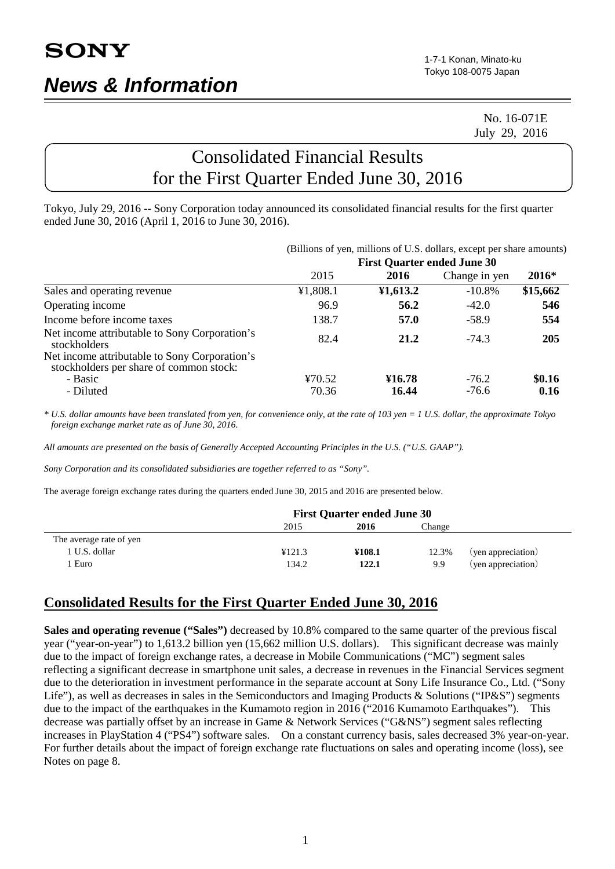### No. 16-071E July 29, 2016

# Consolidated Financial Results for the First Quarter Ended June 30, 2016

Tokyo, July 29, 2016 -- Sony Corporation today announced its consolidated financial results for the first quarter ended June 30, 2016 (April 1, 2016 to June 30, 2016).

|                                                                                          |                                    |          | (Billions of yen, millions of U.S. dollars, except per share amounts) |          |  |
|------------------------------------------------------------------------------------------|------------------------------------|----------|-----------------------------------------------------------------------|----------|--|
|                                                                                          | <b>First Quarter ended June 30</b> |          |                                                                       |          |  |
|                                                                                          | 2015                               | 2016     | Change in yen                                                         | $2016*$  |  |
| Sales and operating revenue                                                              | ¥1,808.1                           | 41,613.2 | $-10.8%$                                                              | \$15,662 |  |
| Operating income                                                                         | 96.9                               | 56.2     | $-42.0$                                                               | 546      |  |
| Income before income taxes                                                               | 138.7                              | 57.0     | $-58.9$                                                               | 554      |  |
| Net income attributable to Sony Corporation's<br>stockholders                            | 82.4                               | 21.2     | $-74.3$                                                               | 205      |  |
| Net income attributable to Sony Corporation's<br>stockholders per share of common stock: |                                    |          |                                                                       |          |  |
| - Basic                                                                                  | ¥70.52                             | ¥16.78   | $-76.2$                                                               | \$0.16   |  |
| - Diluted                                                                                | 70.36                              | 16.44    | $-76.6$                                                               | 0.16     |  |

*\* U.S. dollar amounts have been translated from yen, for convenience only, at the rate of 103 yen = 1 U.S. dollar, the approximate Tokyo foreign exchange market rate as of June 30, 2016.*

*All amounts are presented on the basis of Generally Accepted Accounting Principles in the U.S. ("U.S. GAAP").*

*Sony Corporation and its consolidated subsidiaries are together referred to as "Sony".*

The average foreign exchange rates during the quarters ended June 30, 2015 and 2016 are presented below.

|                         | <b>First Quarter ended June 30</b> |        |        |                    |
|-------------------------|------------------------------------|--------|--------|--------------------|
|                         | 2015                               | 2016   | Change |                    |
| The average rate of yen |                                    |        |        |                    |
| 1 U.S. dollar           | ¥121.3                             | ¥108.1 | 12.3%  | (yen appreciation) |
| Euro                    | 134.2                              | 122.1  | 9.9    | (yen appreciation) |

## **Consolidated Results for the First Quarter Ended June 30, 2016**

**Sales and operating revenue ("Sales")** decreased by 10.8% compared to the same quarter of the previous fiscal year ("year-on-year") to 1,613.2 billion yen (15,662 million U.S. dollars). This significant decrease was mainly due to the impact of foreign exchange rates, a decrease in Mobile Communications ("MC") segment sales reflecting a significant decrease in smartphone unit sales, a decrease in revenues in the Financial Services segment due to the deterioration in investment performance in the separate account at Sony Life Insurance Co., Ltd. ("Sony Life"), as well as decreases in sales in the Semiconductors and Imaging Products & Solutions ("IP&S") segments due to the impact of the earthquakes in the Kumamoto region in 2016 ("2016 Kumamoto Earthquakes"). This decrease was partially offset by an increase in Game & Network Services ("G&NS") segment sales reflecting increases in PlayStation 4 ("PS4") software sales. On a constant currency basis, sales decreased 3% year-on-year. For further details about the impact of foreign exchange rate fluctuations on sales and operating income (loss), see Notes on page 8.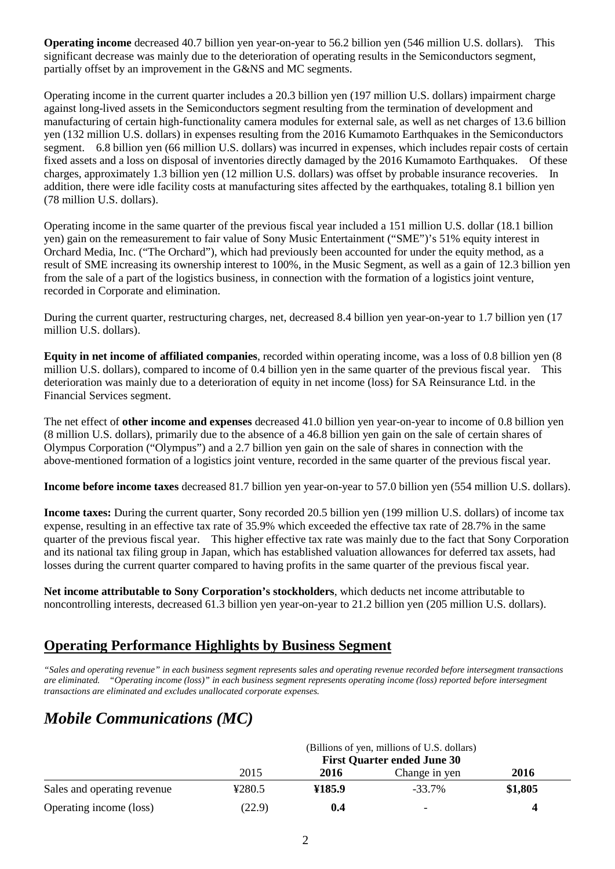**Operating income** decreased 40.7 billion yen year-on-year to 56.2 billion yen (546 million U.S. dollars). This significant decrease was mainly due to the deterioration of operating results in the Semiconductors segment, partially offset by an improvement in the G&NS and MC segments.

Operating income in the current quarter includes a 20.3 billion yen (197 million U.S. dollars) impairment charge against long-lived assets in the Semiconductors segment resulting from the termination of development and manufacturing of certain high-functionality camera modules for external sale, as well as net charges of 13.6 billion yen (132 million U.S. dollars) in expenses resulting from the 2016 Kumamoto Earthquakes in the Semiconductors segment. 6.8 billion yen (66 million U.S. dollars) was incurred in expenses, which includes repair costs of certain fixed assets and a loss on disposal of inventories directly damaged by the 2016 Kumamoto Earthquakes. Of these charges, approximately 1.3 billion yen (12 million U.S. dollars) was offset by probable insurance recoveries. In addition, there were idle facility costs at manufacturing sites affected by the earthquakes, totaling 8.1 billion yen (78 million U.S. dollars).

Operating income in the same quarter of the previous fiscal year included a 151 million U.S. dollar (18.1 billion yen) gain on the remeasurement to fair value of Sony Music Entertainment ("SME")'s 51% equity interest in Orchard Media, Inc. ("The Orchard"), which had previously been accounted for under the equity method, as a result of SME increasing its ownership interest to 100%, in the Music Segment, as well as a gain of 12.3 billion yen from the sale of a part of the logistics business, in connection with the formation of a logistics joint venture, recorded in Corporate and elimination.

During the current quarter, restructuring charges, net, decreased 8.4 billion yen year-on-year to 1.7 billion yen (17 million U.S. dollars).

**Equity in net income of affiliated companies**, recorded within operating income, was a loss of 0.8 billion yen (8 million U.S. dollars), compared to income of 0.4 billion yen in the same quarter of the previous fiscal year. This deterioration was mainly due to a deterioration of equity in net income (loss) for SA Reinsurance Ltd. in the Financial Services segment.

The net effect of **other income and expenses** decreased 41.0 billion yen year-on-year to income of 0.8 billion yen (8 million U.S. dollars), primarily due to the absence of a 46.8 billion yen gain on the sale of certain shares of Olympus Corporation ("Olympus") and a 2.7 billion yen gain on the sale of shares in connection with the above-mentioned formation of a logistics joint venture, recorded in the same quarter of the previous fiscal year.

**Income before income taxes** decreased 81.7 billion yen year-on-year to 57.0 billion yen (554 million U.S. dollars).

**Income taxes:** During the current quarter, Sony recorded 20.5 billion yen (199 million U.S. dollars) of income tax expense, resulting in an effective tax rate of 35.9% which exceeded the effective tax rate of 28.7% in the same quarter of the previous fiscal year. This higher effective tax rate was mainly due to the fact that Sony Corporation and its national tax filing group in Japan, which has established valuation allowances for deferred tax assets, had losses during the current quarter compared to having profits in the same quarter of the previous fiscal year.

**Net income attributable to Sony Corporation's stockholders**, which deducts net income attributable to noncontrolling interests, decreased 61.3 billion yen year-on-year to 21.2 billion yen (205 million U.S. dollars).

## **Operating Performance Highlights by Business Segment**

*"Sales and operating revenue" in each business segment represents sales and operating revenue recorded before intersegment transactions are eliminated. "Operating income (loss)" in each business segment represents operating income (loss) reported before intersegment transactions are eliminated and excludes unallocated corporate expenses.*

# *Mobile Communications (MC)*

|                             | (Billions of yen, millions of U.S. dollars)<br><b>First Quarter ended June 30</b> |        |               |         |  |
|-----------------------------|-----------------------------------------------------------------------------------|--------|---------------|---------|--|
|                             |                                                                                   |        |               |         |  |
|                             | 2015                                                                              | 2016   | Change in yen | 2016    |  |
| Sales and operating revenue | ¥280.5                                                                            | ¥185.9 | $-33.7\%$     | \$1,805 |  |
| Operating income (loss)     | (22.9)                                                                            | 0.4    | -             |         |  |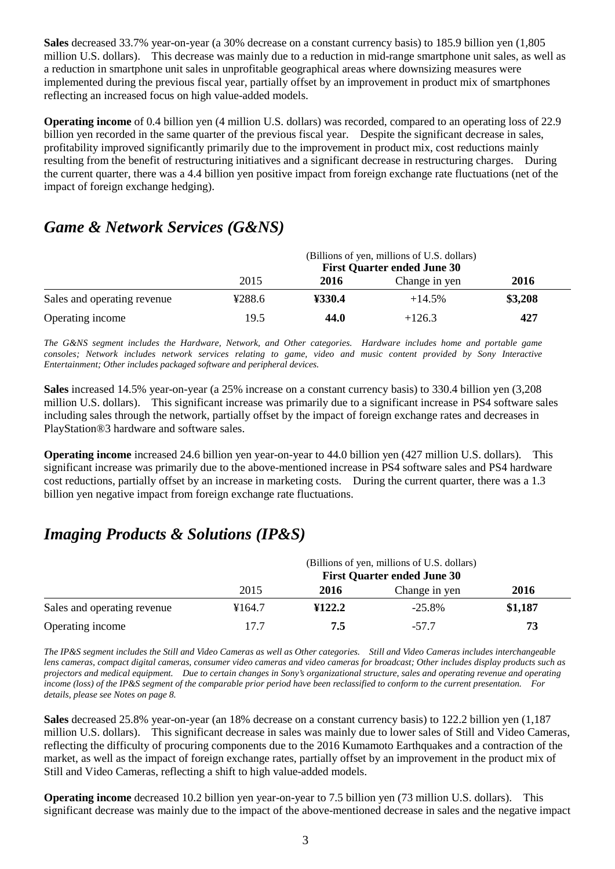**Sales** decreased 33.7% year-on-year (a 30% decrease on a constant currency basis) to 185.9 billion yen (1,805 million U.S. dollars). This decrease was mainly due to a reduction in mid-range smartphone unit sales, as well as a reduction in smartphone unit sales in unprofitable geographical areas where downsizing measures were implemented during the previous fiscal year, partially offset by an improvement in product mix of smartphones reflecting an increased focus on high value-added models.

**Operating income** of 0.4 billion yen (4 million U.S. dollars) was recorded, compared to an operating loss of 22.9 billion yen recorded in the same quarter of the previous fiscal year. Despite the significant decrease in sales, profitability improved significantly primarily due to the improvement in product mix, cost reductions mainly resulting from the benefit of restructuring initiatives and a significant decrease in restructuring charges. During the current quarter, there was a 4.4 billion yen positive impact from foreign exchange rate fluctuations (net of the impact of foreign exchange hedging).

## *Game & Network Services (G&NS)*

|                             | (Billions of yen, millions of U.S. dollars)<br><b>First Quarter ended June 30</b> |        |               |         |
|-----------------------------|-----------------------------------------------------------------------------------|--------|---------------|---------|
|                             | 2015                                                                              | 2016   | Change in yen | 2016    |
| Sales and operating revenue | 4288.6                                                                            | ¥330.4 | $+14.5%$      | \$3,208 |
| Operating income            | 19.5                                                                              | 44.0   | $+126.3$      | 427     |

*The G&NS segment includes the Hardware, Network, and Other categories. Hardware includes home and portable game consoles; Network includes network services relating to game, video and music content provided by Sony Interactive Entertainment; Other includes packaged software and peripheral devices.* 

**Sales** increased 14.5% year-on-year (a 25% increase on a constant currency basis) to 330.4 billion yen (3,208 million U.S. dollars). This significant increase was primarily due to a significant increase in PS4 software sales including sales through the network, partially offset by the impact of foreign exchange rates and decreases in PlayStation®3 hardware and software sales.

**Operating income** increased 24.6 billion yen year-on-year to 44.0 billion yen (427 million U.S. dollars). This significant increase was primarily due to the above-mentioned increase in PS4 software sales and PS4 hardware cost reductions, partially offset by an increase in marketing costs. During the current quarter, there was a 1.3 billion yen negative impact from foreign exchange rate fluctuations.

## *Imaging Products & Solutions (IP&S)*

|                             | (Billions of yen, millions of U.S. dollars)<br><b>First Quarter ended June 30</b> |        |               |         |
|-----------------------------|-----------------------------------------------------------------------------------|--------|---------------|---------|
|                             | 2015                                                                              | 2016   | Change in yen | 2016    |
| Sales and operating revenue | ¥164.7                                                                            | ¥122.2 | $-25.8\%$     | \$1,187 |
| Operating income            | 17.7                                                                              | 7.5    | $-57.7$       | 73      |

*The IP&S segment includes the Still and Video Cameras as well as Other categories. Still and Video Cameras includes interchangeable lens cameras, compact digital cameras, consumer video cameras and video cameras for broadcast; Other includes display products such as projectors and medical equipment. Due to certain changes in Sony's organizational structure, sales and operating revenue and operating income (loss) of the IP&S segment of the comparable prior period have been reclassified to conform to the current presentation. For details, please see Notes on page 8.* 

**Sales** decreased 25.8% year-on-year (an 18% decrease on a constant currency basis) to 122.2 billion yen (1,187 million U.S. dollars). This significant decrease in sales was mainly due to lower sales of Still and Video Cameras, reflecting the difficulty of procuring components due to the 2016 Kumamoto Earthquakes and a contraction of the market, as well as the impact of foreign exchange rates, partially offset by an improvement in the product mix of Still and Video Cameras, reflecting a shift to high value-added models.

**Operating income** decreased 10.2 billion yen year-on-year to 7.5 billion yen (73 million U.S. dollars). This significant decrease was mainly due to the impact of the above-mentioned decrease in sales and the negative impact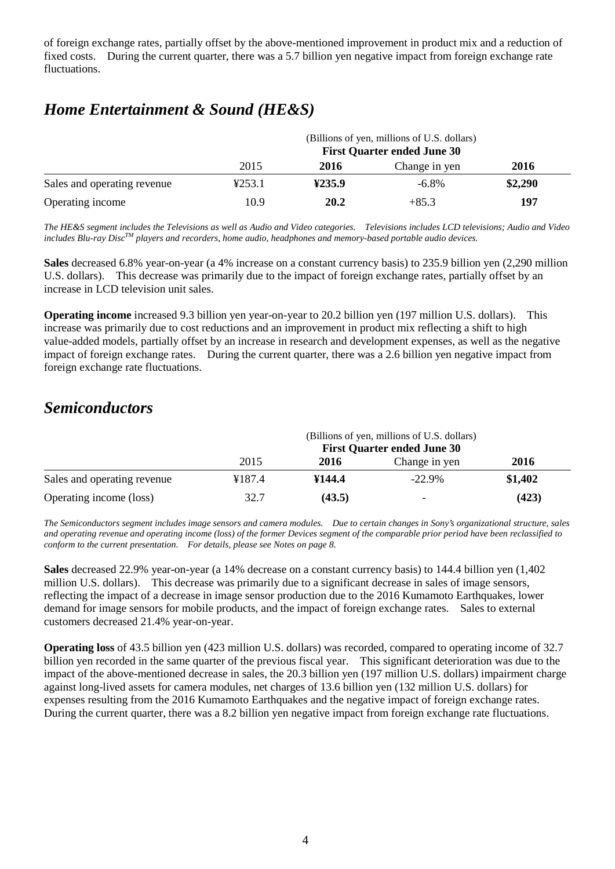of foreign exchange rates, partially offset by the above-mentioned improvement in product mix and a reduction of fixed costs. During the current quarter, there was a 5.7 billion yen negative impact from foreign exchange rate fluctuations.

# *Home Entertainment & Sound (HE&S)*

|                             | (Billions of yen, millions of U.S. dollars)<br><b>First Quarter ended June 30</b> |        |               |         |  |
|-----------------------------|-----------------------------------------------------------------------------------|--------|---------------|---------|--|
|                             | 2015                                                                              | 2016   | Change in yen | 2016    |  |
| Sales and operating revenue | 4253.1                                                                            | 4235.9 | $-6.8\%$      | \$2,290 |  |
| Operating income            | 10.9                                                                              | 20.2   | $+85.3$       | 197     |  |

*The HE&S segment includes the Televisions as well as Audio and Video categories. Televisions includes LCD televisions; Audio and Video includes Blu-ray DiscTM players and recorders, home audio, headphones and memory-based portable audio devices.*

**Sales** decreased 6.8% year-on-year (a 4% increase on a constant currency basis) to 235.9 billion yen (2,290 million U.S. dollars). This decrease was primarily due to the impact of foreign exchange rates, partially offset by an increase in LCD television unit sales.

**Operating income** increased 9.3 billion yen year-on-year to 20.2 billion yen (197 million U.S. dollars). This increase was primarily due to cost reductions and an improvement in product mix reflecting a shift to high value-added models, partially offset by an increase in research and development expenses, as well as the negative impact of foreign exchange rates. During the current quarter, there was a 2.6 billion yen negative impact from foreign exchange rate fluctuations.

# *Semiconductors*

|                             | (Billions of yen, millions of U.S. dollars)<br><b>First Quarter ended June 30</b> |        |               |         |
|-----------------------------|-----------------------------------------------------------------------------------|--------|---------------|---------|
|                             | 2015                                                                              | 2016   | Change in yen | 2016    |
| Sales and operating revenue | ¥187.4                                                                            | ¥144.4 | $-22.9\%$     | \$1,402 |
| Operating income (loss)     | 32.7                                                                              | (43.5) | -             | (423)   |

*The Semiconductors segment includes image sensors and camera modules. Due to certain changes in Sony's organizational structure, sales and operating revenue and operating income (loss) of the former Devices segment of the comparable prior period have been reclassified to conform to the current presentation. For details, please see Notes on page 8.*

**Sales** decreased 22.9% year-on-year (a 14% decrease on a constant currency basis) to 144.4 billion yen (1,402 million U.S. dollars). This decrease was primarily due to a significant decrease in sales of image sensors, reflecting the impact of a decrease in image sensor production due to the 2016 Kumamoto Earthquakes, lower demand for image sensors for mobile products, and the impact of foreign exchange rates. Sales to external customers decreased 21.4% year-on-year.

**Operating loss** of 43.5 billion yen (423 million U.S. dollars) was recorded, compared to operating income of 32.7 billion yen recorded in the same quarter of the previous fiscal year. This significant deterioration was due to the impact of the above-mentioned decrease in sales, the 20.3 billion yen (197 million U.S. dollars) impairment charge against long-lived assets for camera modules, net charges of 13.6 billion yen (132 million U.S. dollars) for expenses resulting from the 2016 Kumamoto Earthquakes and the negative impact of foreign exchange rates. During the current quarter, there was a 8.2 billion yen negative impact from foreign exchange rate fluctuations.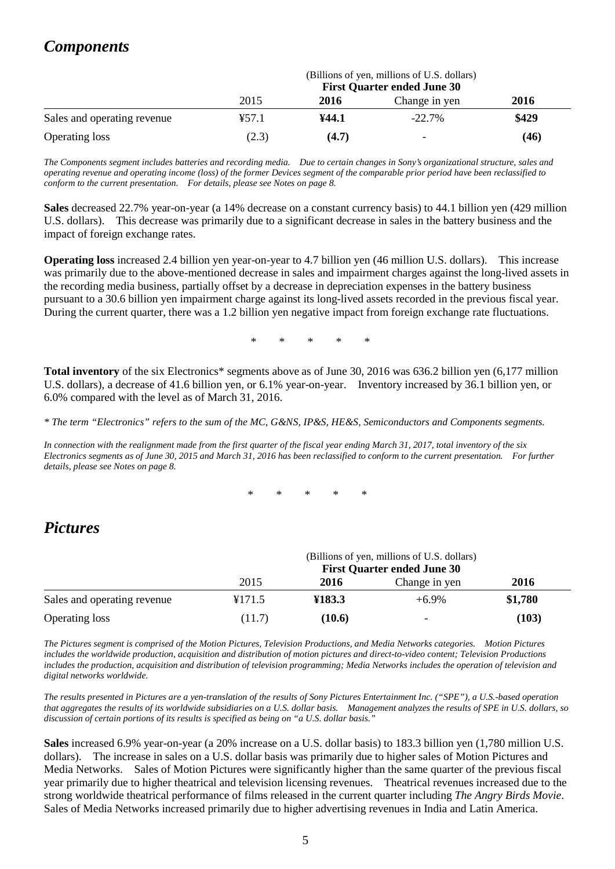# *Components*

|                             | (Billions of yen, millions of U.S. dollars)<br><b>First Quarter ended June 30</b> |       |                          |       |
|-----------------------------|-----------------------------------------------------------------------------------|-------|--------------------------|-------|
|                             | 2015                                                                              | 2016  | Change in yen            | 2016  |
| Sales and operating revenue | ¥57.1                                                                             | ¥44.1 | $-22.7%$                 | \$429 |
| <b>Operating loss</b>       | (2.3)                                                                             | (4.7) | $\overline{\phantom{0}}$ | (46)  |

*The Components segment includes batteries and recording media. Due to certain changes in Sony's organizational structure, sales and operating revenue and operating income (loss) of the former Devices segment of the comparable prior period have been reclassified to conform to the current presentation. For details, please see Notes on page 8.*

**Sales** decreased 22.7% year-on-year (a 14% decrease on a constant currency basis) to 44.1 billion yen (429 million U.S. dollars). This decrease was primarily due to a significant decrease in sales in the battery business and the impact of foreign exchange rates.

**Operating loss** increased 2.4 billion yen year-on-year to 4.7 billion yen (46 million U.S. dollars). This increase was primarily due to the above-mentioned decrease in sales and impairment charges against the long-lived assets in the recording media business, partially offset by a decrease in depreciation expenses in the battery business pursuant to a 30.6 billion yen impairment charge against its long-lived assets recorded in the previous fiscal year. During the current quarter, there was a 1.2 billion yen negative impact from foreign exchange rate fluctuations.

\* \* \* \* \*

**Total inventory** of the six Electronics\* segments above as of June 30, 2016 was 636.2 billion yen (6,177 million U.S. dollars), a decrease of 41.6 billion yen, or 6.1% year-on-year. Inventory increased by 36.1 billion yen, or 6.0% compared with the level as of March 31, 2016.

*\* The term "Electronics" refers to the sum of the MC, G&NS, IP&S, HE&S, Semiconductors and Components segments.*

*In connection with the realignment made from the first quarter of the fiscal year ending March 31, 2017, total inventory of the six Electronics segments as of June 30, 2015 and March 31, 2016 has been reclassified to conform to the current presentation. For further details, please see Notes on page 8.*

\* \* \* \* \*

## *Pictures*

|                             | (Billions of yen, millions of U.S. dollars)<br><b>First Quarter ended June 30</b> |        |                          |         |
|-----------------------------|-----------------------------------------------------------------------------------|--------|--------------------------|---------|
|                             | 2015                                                                              | 2016   | Change in yen            | 2016    |
| Sales and operating revenue | ¥171.5                                                                            | ¥183.3 | $+6.9\%$                 | \$1,780 |
| <b>Operating loss</b>       | (11.7)                                                                            | (10.6) | $\overline{\phantom{0}}$ | (103)   |

*The Pictures segment is comprised of the Motion Pictures, Television Productions, and Media Networks categories. Motion Pictures includes the worldwide production, acquisition and distribution of motion pictures and direct-to-video content; Television Productions includes the production, acquisition and distribution of television programming; Media Networks includes the operation of television and digital networks worldwide.*

*The results presented in Pictures are a yen-translation of the results of Sony Pictures Entertainment Inc. ("SPE"), a U.S.-based operation that aggregates the results of its worldwide subsidiaries on a U.S. dollar basis. Management analyzes the results of SPE in U.S. dollars, so*  discussion of certain portions of its results is specified as being on "a U.S. dollar basis.<sup>"</sup>

**Sales** increased 6.9% year-on-year (a 20% increase on a U.S. dollar basis) to 183.3 billion yen (1,780 million U.S. dollars). The increase in sales on a U.S. dollar basis was primarily due to higher sales of Motion Pictures and Media Networks. Sales of Motion Pictures were significantly higher than the same quarter of the previous fiscal year primarily due to higher theatrical and television licensing revenues. Theatrical revenues increased due to the strong worldwide theatrical performance of films released in the current quarter including *The Angry Birds Movie*. Sales of Media Networks increased primarily due to higher advertising revenues in India and Latin America.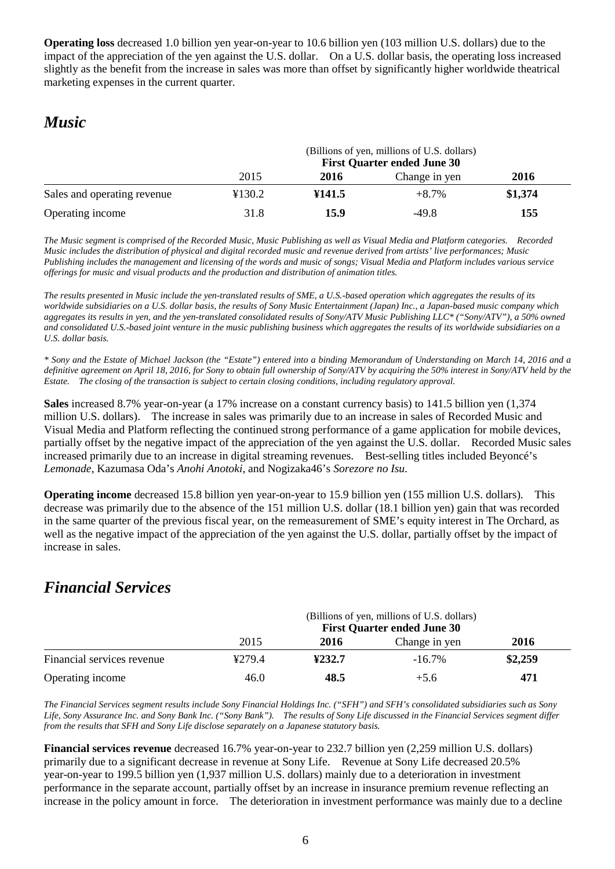**Operating loss** decreased 1.0 billion yen year-on-year to 10.6 billion yen (103 million U.S. dollars) due to the impact of the appreciation of the yen against the U.S. dollar. On a U.S. dollar basis, the operating loss increased slightly as the benefit from the increase in sales was more than offset by significantly higher worldwide theatrical marketing expenses in the current quarter.

# *Music*

|                             | (Billions of yen, millions of U.S. dollars)<br><b>First Quarter ended June 30</b> |         |               |         |
|-----------------------------|-----------------------------------------------------------------------------------|---------|---------------|---------|
|                             | 2015                                                                              | 2016    | Change in yen | 2016    |
| Sales and operating revenue | ¥130.2                                                                            | \$141.5 | $+8.7\%$      | \$1,374 |
| Operating income            | 31.8                                                                              | 15.9    | $-49.8$       | 155     |

*The Music segment is comprised of the Recorded Music, Music Publishing as well as Visual Media and Platform categories. Recorded Music includes the distribution of physical and digital recorded music and revenue derived from artists' live performances; Music Publishing includes the management and licensing of the words and music of songs; Visual Media and Platform includes various service offerings for music and visual products and the production and distribution of animation titles.*

*The results presented in Music include the yen-translated results of SME, a U.S.-based operation which aggregates the results of its worldwide subsidiaries on a U.S. dollar basis, the results of Sony Music Entertainment (Japan) Inc., a Japan-based music company which aggregates its results in yen, and the yen-translated consolidated results of Sony/ATV Music Publishing LLC\* ("Sony/ATV"), a 50% owned and consolidated U.S.-based joint venture in the music publishing business which aggregates the results of its worldwide subsidiaries on a U.S. dollar basis.*

*\* Sony and the Estate of Michael Jackson (the "Estate") entered into a binding Memorandum of Understanding on March 14, 2016 and a definitive agreement on April 18, 2016, for Sony to obtain full ownership of Sony/ATV by acquiring the 50% interest in Sony/ATV held by the Estate. The closing of the transaction is subject to certain closing conditions, including regulatory approval.*

**Sales** increased 8.7% year-on-year (a 17% increase on a constant currency basis) to 141.5 billion yen (1,374 million U.S. dollars). The increase in sales was primarily due to an increase in sales of Recorded Music and Visual Media and Platform reflecting the continued strong performance of a game application for mobile devices, partially offset by the negative impact of the appreciation of the yen against the U.S. dollar. Recorded Music sales increased primarily due to an increase in digital streaming revenues. Best-selling titles included Beyoncé's *Lemonade*, Kazumasa Oda's *Anohi Anotoki*, and Nogizaka46's *Sorezore no Isu*.

**Operating income** decreased 15.8 billion yen year-on-year to 15.9 billion yen (155 million U.S. dollars). This decrease was primarily due to the absence of the 151 million U.S. dollar (18.1 billion yen) gain that was recorded in the same quarter of the previous fiscal year, on the remeasurement of SME's equity interest in The Orchard, as well as the negative impact of the appreciation of the yen against the U.S. dollar, partially offset by the impact of increase in sales.

# *Financial Services*

|                            | (Billions of yen, millions of U.S. dollars)<br><b>First Quarter ended June 30</b> |        |               |         |
|----------------------------|-----------------------------------------------------------------------------------|--------|---------------|---------|
|                            | 2015                                                                              | 2016   | Change in yen | 2016    |
| Financial services revenue | 4279.4                                                                            | ¥232.7 | $-16.7\%$     | \$2,259 |
| Operating income           | 46.0                                                                              | 48.5   | $+5.6$        | 471     |

*The Financial Services segment results include Sony Financial Holdings Inc. ("SFH") and SFH's consolidated subsidiaries such as Sony Life, Sony Assurance Inc. and Sony Bank Inc. ("Sony Bank"). The results of Sony Life discussed in the Financial Services segment differ from the results that SFH and Sony Life disclose separately on a Japanese statutory basis.*

**Financial services revenue** decreased 16.7% year-on-year to 232.7 billion yen (2,259 million U.S. dollars) primarily due to a significant decrease in revenue at Sony Life. Revenue at Sony Life decreased 20.5% year-on-year to 199.5 billion yen (1,937 million U.S. dollars) mainly due to a deterioration in investment performance in the separate account, partially offset by an increase in insurance premium revenue reflecting an increase in the policy amount in force. The deterioration in investment performance was mainly due to a decline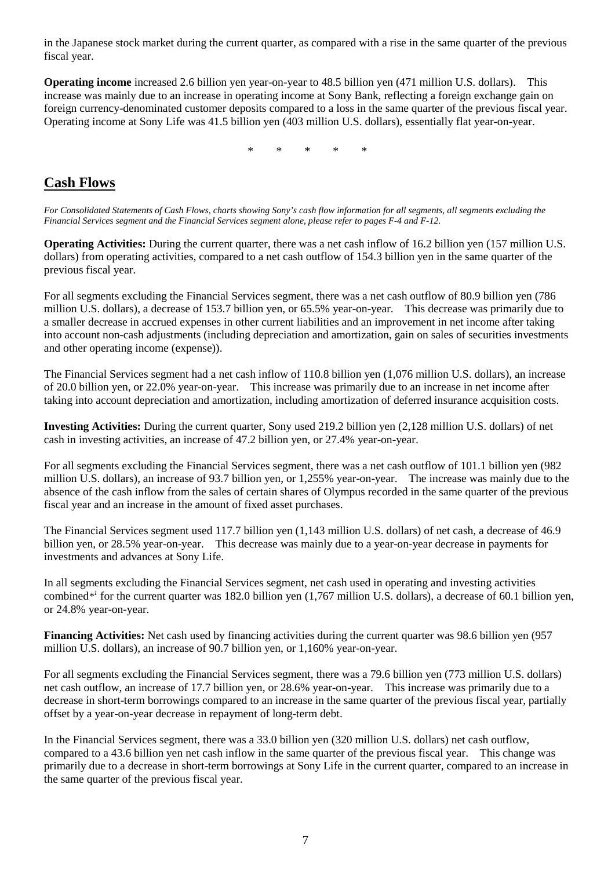in the Japanese stock market during the current quarter, as compared with a rise in the same quarter of the previous fiscal year.

**Operating income** increased 2.6 billion yen year-on-year to 48.5 billion yen (471 million U.S. dollars). This increase was mainly due to an increase in operating income at Sony Bank, reflecting a foreign exchange gain on foreign currency-denominated customer deposits compared to a loss in the same quarter of the previous fiscal year. Operating income at Sony Life was 41.5 billion yen (403 million U.S. dollars), essentially flat year-on-year.

\* \* \* \* \*

## **Cash Flows**

*For Consolidated Statements of Cash Flows, charts showing Sony's cash flow information for all segments, all segments excluding the Financial Services segment and the Financial Services segment alone, please refer to pages F-4 and F-12.*

**Operating Activities:** During the current quarter, there was a net cash inflow of 16.2 billion yen (157 million U.S.) dollars) from operating activities, compared to a net cash outflow of 154.3 billion yen in the same quarter of the previous fiscal year.

For all segments excluding the Financial Services segment, there was a net cash outflow of 80.9 billion yen (786 million U.S. dollars), a decrease of 153.7 billion yen, or 65.5% year-on-year. This decrease was primarily due to a smaller decrease in accrued expenses in other current liabilities and an improvement in net income after taking into account non-cash adjustments (including depreciation and amortization, gain on sales of securities investments and other operating income (expense)).

The Financial Services segment had a net cash inflow of 110.8 billion yen (1,076 million U.S. dollars), an increase of 20.0 billion yen, or 22.0% year-on-year. This increase was primarily due to an increase in net income after taking into account depreciation and amortization, including amortization of deferred insurance acquisition costs.

**Investing Activities:** During the current quarter, Sony used 219.2 billion yen (2,128 million U.S. dollars) of net cash in investing activities, an increase of 47.2 billion yen, or 27.4% year-on-year.

For all segments excluding the Financial Services segment, there was a net cash outflow of 101.1 billion yen (982 million U.S. dollars), an increase of 93.7 billion yen, or 1,255% year-on-year. The increase was mainly due to the absence of the cash inflow from the sales of certain shares of Olympus recorded in the same quarter of the previous fiscal year and an increase in the amount of fixed asset purchases.

The Financial Services segment used 117.7 billion yen (1,143 million U.S. dollars) of net cash, a decrease of 46.9 billion yen, or 28.5% year-on-year. This decrease was mainly due to a year-on-year decrease in payments for investments and advances at Sony Life.

In all segments excluding the Financial Services segment, net cash used in operating and investing activities combined*\*1* for the current quarter was 182.0 billion yen (1,767 million U.S. dollars), a decrease of 60.1 billion yen, or 24.8% year-on-year.

**Financing Activities:** Net cash used by financing activities during the current quarter was 98.6 billion yen (957 million U.S. dollars), an increase of 90.7 billion yen, or 1,160% year-on-year.

For all segments excluding the Financial Services segment, there was a 79.6 billion yen (773 million U.S. dollars) net cash outflow, an increase of 17.7 billion yen, or 28.6% year-on-year. This increase was primarily due to a decrease in short-term borrowings compared to an increase in the same quarter of the previous fiscal year, partially offset by a year-on-year decrease in repayment of long-term debt.

In the Financial Services segment, there was a 33.0 billion yen (320 million U.S. dollars) net cash outflow, compared to a 43.6 billion yen net cash inflow in the same quarter of the previous fiscal year. This change was primarily due to a decrease in short-term borrowings at Sony Life in the current quarter, compared to an increase in the same quarter of the previous fiscal year.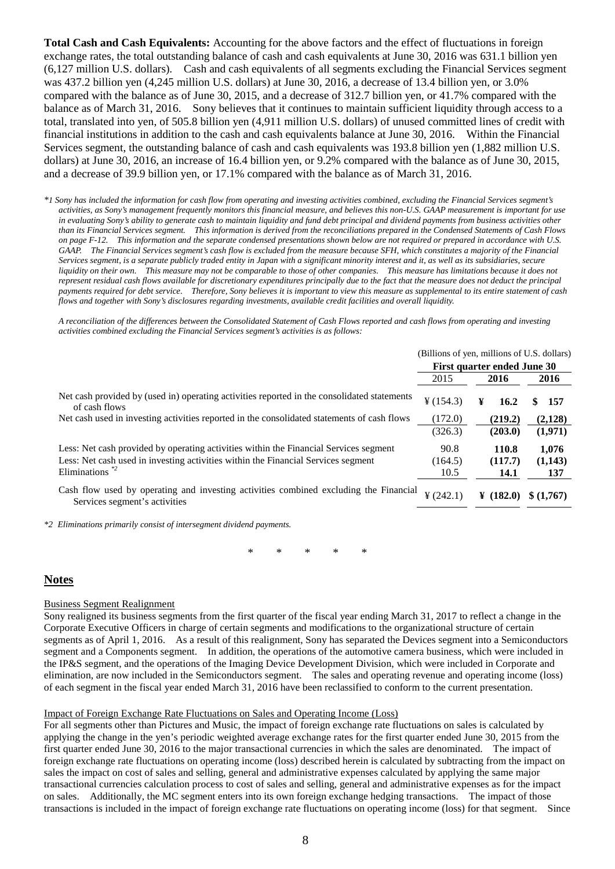**Total Cash and Cash Equivalents:** Accounting for the above factors and the effect of fluctuations in foreign exchange rates, the total outstanding balance of cash and cash equivalents at June 30, 2016 was 631.1 billion yen (6,127 million U.S. dollars). Cash and cash equivalents of all segments excluding the Financial Services segment was 437.2 billion yen (4,245 million U.S. dollars) at June 30, 2016, a decrease of 13.4 billion yen, or 3.0% compared with the balance as of June 30, 2015, and a decrease of 312.7 billion yen, or 41.7% compared with the balance as of March 31, 2016. Sony believes that it continues to maintain sufficient liquidity through access to a total, translated into yen, of 505.8 billion yen (4,911 million U.S. dollars) of unused committed lines of credit with financial institutions in addition to the cash and cash equivalents balance at June 30, 2016. Within the Financial Services segment, the outstanding balance of cash and cash equivalents was 193.8 billion yen (1,882 million U.S. dollars) at June 30, 2016, an increase of 16.4 billion yen, or 9.2% compared with the balance as of June 30, 2015, and a decrease of 39.9 billion yen, or 17.1% compared with the balance as of March 31, 2016.

*\*1 Sony has included the information for cash flow from operating and investing activities combined, excluding the Financial Services segment's activities, as Sony's management frequently monitors this financial measure, and believes this non-U.S. GAAP measurement is important for use in evaluating Sony's ability to generate cash to maintain liquidity and fund debt principal and dividend payments from business activities other than its Financial Services segment. This information is derived from the reconciliations prepared in the Condensed Statements of Cash Flows on page F-12. This information and the separate condensed presentations shown below are not required or prepared in accordance with U.S. GAAP. The Financial Services segment's cash flow is excluded from the measure because SFH, which constitutes a majority of the Financial Services segment, is a separate publicly traded entity in Japan with a significant minority interest and it, as well as its subsidiaries, secure liquidity on their own. This measure may not be comparable to those of other companies. This measure has limitations because it does not represent residual cash flows available for discretionary expenditures principally due to the fact that the measure does not deduct the principal payments required for debt service. Therefore, Sony believes it is important to view this measure as supplemental to its entire statement of cash flows and together with Sony's disclosures regarding investments, available credit facilities and overall liquidity.*

*A reconciliation of the differences between the Consolidated Statement of Cash Flows reported and cash flows from operating and investing activities combined excluding the Financial Services segment's activities is as follows:*

|                                                                                                                        | (Billions of yen, millions of U.S. dollars) |                  |           |
|------------------------------------------------------------------------------------------------------------------------|---------------------------------------------|------------------|-----------|
|                                                                                                                        | First quarter ended June 30                 |                  |           |
|                                                                                                                        | 2015                                        | 2016             | 2016      |
| Net cash provided by (used in) operating activities reported in the consolidated statements<br>of cash flows           | ¥ (154.3)                                   | ¥<br>16.2        | 157<br>S  |
| Net cash used in investing activities reported in the consolidated statements of cash flows                            | (172.0)                                     | (219.2)          | (2,128)   |
|                                                                                                                        | (326.3)                                     | (203.0)          | (1,971)   |
| Less: Net cash provided by operating activities within the Financial Services segment                                  | 90.8                                        | 110.8            | 1.076     |
| Less: Net cash used in investing activities within the Financial Services segment                                      | (164.5)                                     | (117.7)          | (1,143)   |
| Eliminations $*$ <sup>2</sup>                                                                                          | 10.5                                        | 14.1             | 137       |
| Cash flow used by operating and investing activities combined excluding the Financial<br>Services segment's activities | $\frac{1}{2}(242.1)$                        | $\angle (182.0)$ | \$(1.767) |
|                                                                                                                        |                                             |                  |           |

*\*2 Eliminations primarily consist of intersegment dividend payments.*

\* \* \* \* \*

### **Notes**

#### Business Segment Realignment

Sony realigned its business segments from the first quarter of the fiscal year ending March 31, 2017 to reflect a change in the Corporate Executive Officers in charge of certain segments and modifications to the organizational structure of certain segments as of April 1, 2016. As a result of this realignment, Sony has separated the Devices segment into a Semiconductors segment and a Components segment. In addition, the operations of the automotive camera business, which were included in the IP&S segment, and the operations of the Imaging Device Development Division, which were included in Corporate and elimination, are now included in the Semiconductors segment. The sales and operating revenue and operating income (loss) of each segment in the fiscal year ended March 31, 2016 have been reclassified to conform to the current presentation.

#### Impact of Foreign Exchange Rate Fluctuations on Sales and Operating Income (Loss)

For all segments other than Pictures and Music, the impact of foreign exchange rate fluctuations on sales is calculated by applying the change in the yen's periodic weighted average exchange rates for the first quarter ended June 30, 2015 from the first quarter ended June 30, 2016 to the major transactional currencies in which the sales are denominated. The impact of foreign exchange rate fluctuations on operating income (loss) described herein is calculated by subtracting from the impact on sales the impact on cost of sales and selling, general and administrative expenses calculated by applying the same major transactional currencies calculation process to cost of sales and selling, general and administrative expenses as for the impact on sales. Additionally, the MC segment enters into its own foreign exchange hedging transactions. The impact of those transactions is included in the impact of foreign exchange rate fluctuations on operating income (loss) for that segment. Since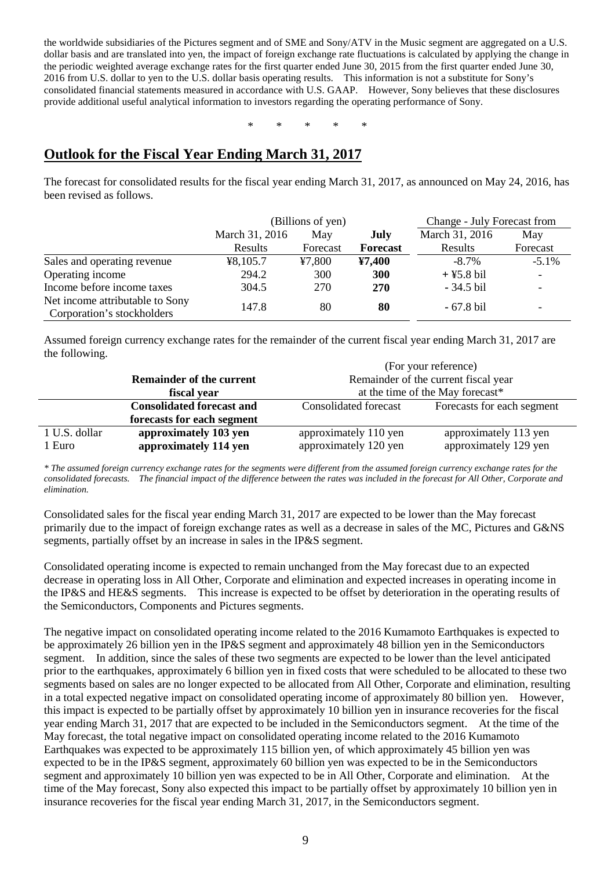the worldwide subsidiaries of the Pictures segment and of SME and Sony/ATV in the Music segment are aggregated on a U.S. dollar basis and are translated into yen, the impact of foreign exchange rate fluctuations is calculated by applying the change in the periodic weighted average exchange rates for the first quarter ended June 30, 2015 from the first quarter ended June 30, 2016 from U.S. dollar to yen to the U.S. dollar basis operating results. This information is not a substitute for Sony's consolidated financial statements measured in accordance with U.S. GAAP. However, Sony believes that these disclosures provide additional useful analytical information to investors regarding the operating performance of Sony.

\* \* \* \* \*

## **Outlook for the Fiscal Year Ending March 31, 2017**

The forecast for consolidated results for the fiscal year ending March 31, 2017, as announced on May 24, 2016, has been revised as follows.

|                                                               | (Billions of yen) |          |            | Change - July Forecast from |                          |
|---------------------------------------------------------------|-------------------|----------|------------|-----------------------------|--------------------------|
|                                                               | March 31, 2016    | May      | July       | March 31, 2016              | May                      |
|                                                               | Results           | Forecast | Forecast   | Results                     | Forecast                 |
| Sales and operating revenue                                   | 48,105.7          | 47,800   | 47,400     | $-8.7\%$                    | $-5.1\%$                 |
| Operating income                                              | 294.2             | 300      | <b>300</b> | $+$ ¥5.8 bil                | $\overline{\phantom{a}}$ |
| Income before income taxes                                    | 304.5             | 270      | <b>270</b> | $-34.5$ bil                 | $\overline{\phantom{a}}$ |
| Net income attributable to Sony<br>Corporation's stockholders | 147.8             | 80       | 80         | $-67.8$ bil                 |                          |

Assumed foreign currency exchange rates for the remainder of the current fiscal year ending March 31, 2017 are the following.

|               |                                  | (For your reference)                 |                            |  |  |  |  |  |
|---------------|----------------------------------|--------------------------------------|----------------------------|--|--|--|--|--|
|               | <b>Remainder of the current</b>  | Remainder of the current fiscal year |                            |  |  |  |  |  |
|               | fiscal year                      | at the time of the May forecast*     |                            |  |  |  |  |  |
|               | <b>Consolidated forecast and</b> | <b>Consolidated forecast</b>         | Forecasts for each segment |  |  |  |  |  |
|               | forecasts for each segment       |                                      |                            |  |  |  |  |  |
| 1 U.S. dollar | approximately 103 yen            | approximately 110 yen                | approximately 113 yen      |  |  |  |  |  |
| 1 Euro        | approximately 114 yen            | approximately 120 yen                | approximately 129 yen      |  |  |  |  |  |

*\* The assumed foreign currency exchange rates for the segments were different from the assumed foreign currency exchange rates for the consolidated forecasts. The financial impact of the difference between the rates was included in the forecast for All Other, Corporate and elimination.*

Consolidated sales for the fiscal year ending March 31, 2017 are expected to be lower than the May forecast primarily due to the impact of foreign exchange rates as well as a decrease in sales of the MC, Pictures and G&NS segments, partially offset by an increase in sales in the IP&S segment.

Consolidated operating income is expected to remain unchanged from the May forecast due to an expected decrease in operating loss in All Other, Corporate and elimination and expected increases in operating income in the IP&S and HE&S segments. This increase is expected to be offset by deterioration in the operating results of the Semiconductors, Components and Pictures segments.

The negative impact on consolidated operating income related to the 2016 Kumamoto Earthquakes is expected to be approximately 26 billion yen in the IP&S segment and approximately 48 billion yen in the Semiconductors segment. In addition, since the sales of these two segments are expected to be lower than the level anticipated prior to the earthquakes, approximately 6 billion yen in fixed costs that were scheduled to be allocated to these two segments based on sales are no longer expected to be allocated from All Other, Corporate and elimination, resulting in a total expected negative impact on consolidated operating income of approximately 80 billion yen. However, this impact is expected to be partially offset by approximately 10 billion yen in insurance recoveries for the fiscal year ending March 31, 2017 that are expected to be included in the Semiconductors segment. At the time of the May forecast, the total negative impact on consolidated operating income related to the 2016 Kumamoto Earthquakes was expected to be approximately 115 billion yen, of which approximately 45 billion yen was expected to be in the IP&S segment, approximately 60 billion yen was expected to be in the Semiconductors segment and approximately 10 billion yen was expected to be in All Other, Corporate and elimination. At the time of the May forecast, Sony also expected this impact to be partially offset by approximately 10 billion yen in insurance recoveries for the fiscal year ending March 31, 2017, in the Semiconductors segment.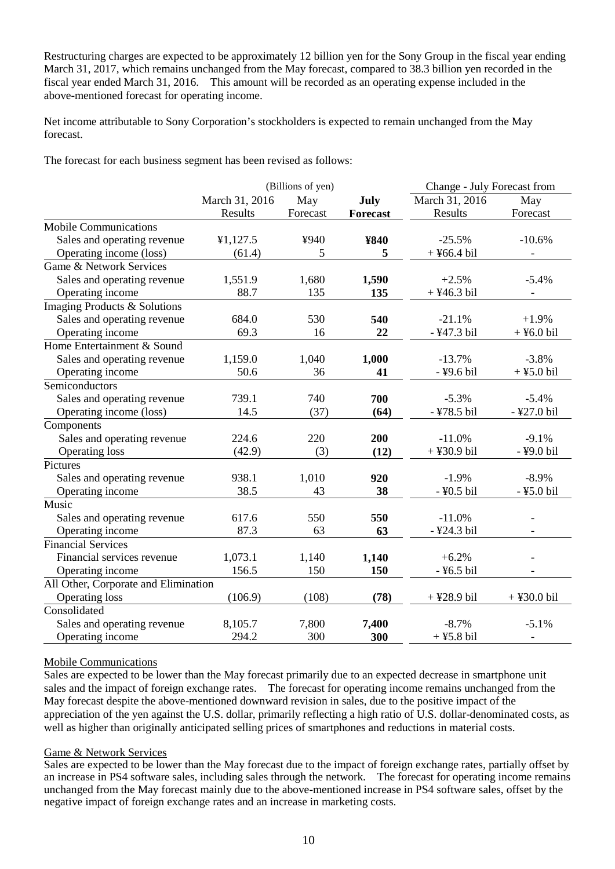Restructuring charges are expected to be approximately 12 billion yen for the Sony Group in the fiscal year ending March 31, 2017, which remains unchanged from the May forecast, compared to 38.3 billion yen recorded in the fiscal year ended March 31, 2016. This amount will be recorded as an operating expense included in the above-mentioned forecast for operating income.

Net income attributable to Sony Corporation's stockholders is expected to remain unchanged from the May forecast.

The forecast for each business segment has been revised as follows:

|                                      |                | (Billions of yen) |                 | Change - July Forecast from |                          |
|--------------------------------------|----------------|-------------------|-----------------|-----------------------------|--------------------------|
|                                      | March 31, 2016 | May               | July            | March 31, 2016              | May                      |
|                                      | Results        | Forecast          | <b>Forecast</b> | Results                     | Forecast                 |
| Mobile Communications                |                |                   |                 |                             |                          |
| Sales and operating revenue          | ¥1,127.5       | ¥940              | ¥840            | $-25.5%$                    | $-10.6%$                 |
| Operating income (loss)              | (61.4)         | 5                 | 5               | $+$ ¥66.4 bil               |                          |
| Game & Network Services              |                |                   |                 |                             |                          |
| Sales and operating revenue          | 1,551.9        | 1,680             | 1,590           | $+2.5%$                     | $-5.4%$                  |
| Operating income                     | 88.7           | 135               | 135             | $+$ ¥46.3 bil               | $\overline{\phantom{a}}$ |
| Imaging Products & Solutions         |                |                   |                 |                             |                          |
| Sales and operating revenue          | 684.0          | 530               | 540             | $-21.1%$                    | $+1.9%$                  |
| Operating income                     | 69.3           | 16                | 22              | -¥47.3 bil                  | $+$ ¥6.0 bil             |
| Home Entertainment & Sound           |                |                   |                 |                             |                          |
| Sales and operating revenue          | 1,159.0        | 1,040             | 1,000           | $-13.7%$                    | $-3.8%$                  |
| Operating income                     | 50.6           | 36                | 41              | -¥9.6 bil                   | $+$ ¥5.0 bil             |
| Semiconductors                       |                |                   |                 |                             |                          |
| Sales and operating revenue          | 739.1          | 740               | 700             | $-5.3%$                     | $-5.4%$                  |
| Operating income (loss)              | 14.5           | (37)              | (64)            | -¥78.5 bil                  | -¥27.0 bil               |
| Components                           |                |                   |                 |                             |                          |
| Sales and operating revenue          | 224.6          | 220               | 200             | $-11.0%$                    | $-9.1%$                  |
| <b>Operating loss</b>                | (42.9)         | (3)               | (12)            | $+$ ¥30.9 bil               | -¥9.0 bil                |
| Pictures                             |                |                   |                 |                             |                          |
| Sales and operating revenue          | 938.1          | 1,010             | 920             | $-1.9%$                     | $-8.9\%$                 |
| Operating income                     | 38.5           | 43                | 38              | -¥0.5 bil                   | -¥5.0 bil                |
| Music                                |                |                   |                 |                             |                          |
| Sales and operating revenue          | 617.6          | 550               | 550             | $-11.0%$                    | $\overline{\phantom{a}}$ |
| Operating income                     | 87.3           | 63                | 63              | -¥24.3 bil                  | $\blacksquare$           |
| <b>Financial Services</b>            |                |                   |                 |                             |                          |
| Financial services revenue           | 1,073.1        | 1,140             | 1,140           | $+6.2%$                     |                          |
| Operating income                     | 156.5          | 150               | 150             | -¥6.5 bil                   |                          |
| All Other, Corporate and Elimination |                |                   |                 |                             |                          |
| <b>Operating loss</b>                | (106.9)        | (108)             | (78)            | $+$ ¥28.9 bil               | $+$ ¥30.0 bil            |
| Consolidated                         |                |                   |                 |                             |                          |
| Sales and operating revenue          | 8,105.7        | 7,800             | 7,400           | $-8.7%$                     | $-5.1%$                  |
| Operating income                     | 294.2          | 300               | 300             | $+$ ¥5.8 bil                | $\overline{a}$           |

### Mobile Communications

Sales are expected to be lower than the May forecast primarily due to an expected decrease in smartphone unit sales and the impact of foreign exchange rates. The forecast for operating income remains unchanged from the May forecast despite the above-mentioned downward revision in sales, due to the positive impact of the appreciation of the yen against the U.S. dollar, primarily reflecting a high ratio of U.S. dollar-denominated costs, as well as higher than originally anticipated selling prices of smartphones and reductions in material costs.

### Game & Network Services

Sales are expected to be lower than the May forecast due to the impact of foreign exchange rates, partially offset by an increase in PS4 software sales, including sales through the network. The forecast for operating income remains unchanged from the May forecast mainly due to the above-mentioned increase in PS4 software sales, offset by the negative impact of foreign exchange rates and an increase in marketing costs.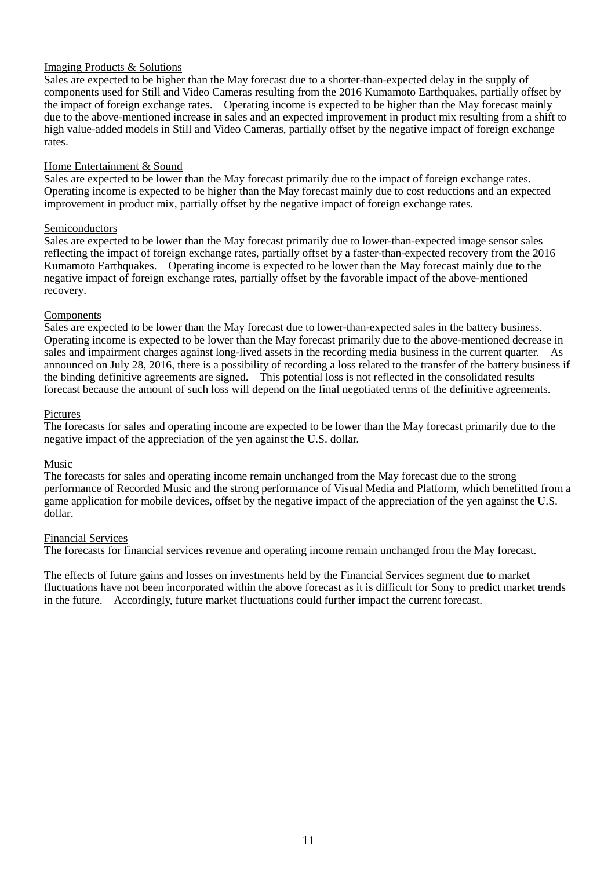### Imaging Products & Solutions

Sales are expected to be higher than the May forecast due to a shorter-than-expected delay in the supply of components used for Still and Video Cameras resulting from the 2016 Kumamoto Earthquakes, partially offset by the impact of foreign exchange rates. Operating income is expected to be higher than the May forecast mainly due to the above-mentioned increase in sales and an expected improvement in product mix resulting from a shift to high value-added models in Still and Video Cameras, partially offset by the negative impact of foreign exchange rates.

### Home Entertainment & Sound

Sales are expected to be lower than the May forecast primarily due to the impact of foreign exchange rates. Operating income is expected to be higher than the May forecast mainly due to cost reductions and an expected improvement in product mix, partially offset by the negative impact of foreign exchange rates.

### Semiconductors

Sales are expected to be lower than the May forecast primarily due to lower-than-expected image sensor sales reflecting the impact of foreign exchange rates, partially offset by a faster-than-expected recovery from the 2016 Kumamoto Earthquakes. Operating income is expected to be lower than the May forecast mainly due to the negative impact of foreign exchange rates, partially offset by the favorable impact of the above-mentioned recovery.

### Components

Sales are expected to be lower than the May forecast due to lower-than-expected sales in the battery business. Operating income is expected to be lower than the May forecast primarily due to the above-mentioned decrease in sales and impairment charges against long-lived assets in the recording media business in the current quarter. As announced on July 28, 2016, there is a possibility of recording a loss related to the transfer of the battery business if the binding definitive agreements are signed. This potential loss is not reflected in the consolidated results forecast because the amount of such loss will depend on the final negotiated terms of the definitive agreements.

### Pictures

The forecasts for sales and operating income are expected to be lower than the May forecast primarily due to the negative impact of the appreciation of the yen against the U.S. dollar.

### Music

The forecasts for sales and operating income remain unchanged from the May forecast due to the strong performance of Recorded Music and the strong performance of Visual Media and Platform, which benefitted from a game application for mobile devices, offset by the negative impact of the appreciation of the yen against the U.S. dollar.

### Financial Services

The forecasts for financial services revenue and operating income remain unchanged from the May forecast.

The effects of future gains and losses on investments held by the Financial Services segment due to market fluctuations have not been incorporated within the above forecast as it is difficult for Sony to predict market trends in the future. Accordingly, future market fluctuations could further impact the current forecast.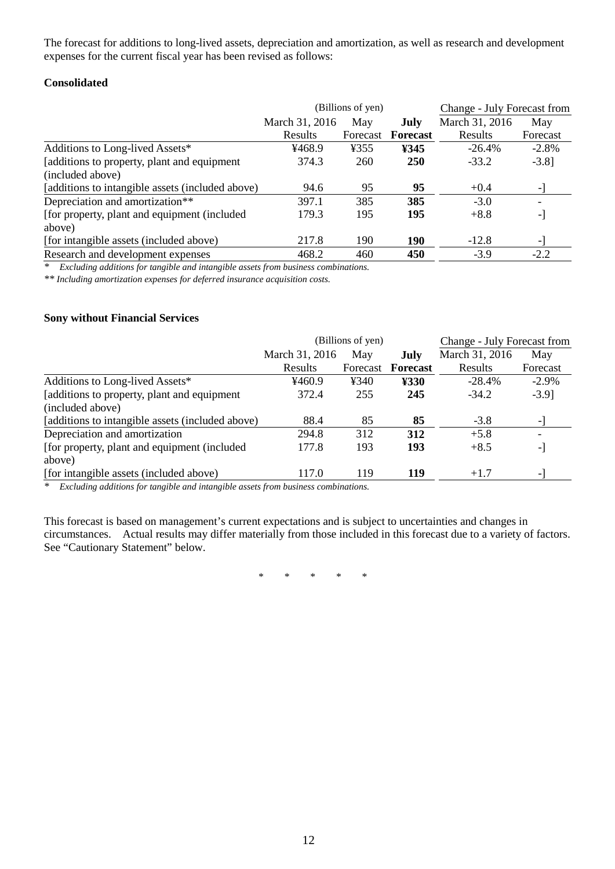The forecast for additions to long-lived assets, depreciation and amortization, as well as research and development expenses for the current fiscal year has been revised as follows:

### **Consolidated**

|                                                  |                | (Billions of yen) | Change - July Forecast from |                |          |
|--------------------------------------------------|----------------|-------------------|-----------------------------|----------------|----------|
|                                                  | March 31, 2016 | May               | July                        | March 31, 2016 | May      |
|                                                  | Results        | Forecast          | <b>Forecast</b>             | Results        | Forecast |
| Additions to Long-lived Assets*                  | ¥468.9         | ¥355              | ¥345                        | $-26.4\%$      | $-2.8%$  |
| [additions to property, plant and equipment      | 374.3          | 260               | <b>250</b>                  | $-33.2$        | $-3.8$ ] |
| (included above)                                 |                |                   |                             |                |          |
| [additions to intangible assets (included above) | 94.6           | 95                | 95                          | $+0.4$         | - 1      |
| Depreciation and amortization**                  | 397.1          | 385               | 385                         | $-3.0$         |          |
| [for property, plant and equipment (included)    | 179.3          | 195               | 195                         | $+8.8$         | -]       |
| above)                                           |                |                   |                             |                |          |
| [for intangible assets (included above)          | 217.8          | 190               | 190                         | $-12.8$        | -1       |
| Research and development expenses                | 468.2          | 460               | 450                         | $-3.9$         | $-2.2$   |

*\* Excluding additions for tangible and intangible assets from business combinations.*

*\*\* Including amortization expenses for deferred insurance acquisition costs.*

### **Sony without Financial Services**

|                                                  |                | (Billions of yen) | Change - July Forecast from |                |          |
|--------------------------------------------------|----------------|-------------------|-----------------------------|----------------|----------|
|                                                  | March 31, 2016 | May               | July                        | March 31, 2016 | May      |
|                                                  | Results        | Forecast          | <b>Forecast</b>             | Results        | Forecast |
| Additions to Long-lived Assets*                  | 4460.9         | ¥340              | ¥330                        | $-28.4%$       | $-2.9\%$ |
| [additions to property, plant and equipment      | 372.4          | 255               | 245                         | $-34.2$        | $-3.9$ ] |
| (included above)                                 |                |                   |                             |                |          |
| [additions to intangible assets (included above) | 88.4           | 85                | 85                          | $-3.8$         |          |
| Depreciation and amortization                    | 294.8          | 312               | 312                         | $+5.8$         |          |
| [for property, plant and equipment (included)    | 177.8          | 193               | 193                         | $+8.5$         | -1       |
| above)                                           |                |                   |                             |                |          |
| [for intangible assets (included above)          | 117.0          | 119               | 119                         | $+1.7$         | - 1      |
|                                                  |                |                   |                             |                |          |

*\* Excluding additions for tangible and intangible assets from business combinations.*

This forecast is based on management's current expectations and is subject to uncertainties and changes in circumstances. Actual results may differ materially from those included in this forecast due to a variety of factors. See "Cautionary Statement" below.

\* \* \* \* \*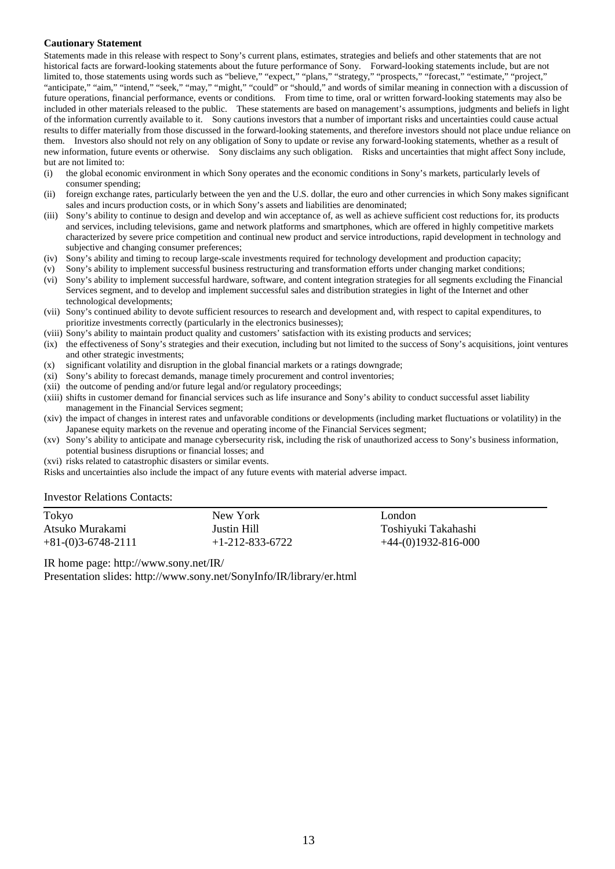#### **Cautionary Statement**

Statements made in this release with respect to Sony's current plans, estimates, strategies and beliefs and other statements that are not historical facts are forward-looking statements about the future performance of Sony. Forward-looking statements include, but are not limited to, those statements using words such as "believe," "expect," "plans," "strategy," "prospects," "forecast," "estimate," "project," "anticipate," "aim," "intend," "seek," "may," "might," "could" or "should," and words of similar meaning in connection with a discussion of future operations, financial performance, events or conditions. From time to time, oral or written forward-looking statements may also be included in other materials released to the public. These statements are based on management's assumptions, judgments and beliefs in light of the information currently available to it. Sony cautions investors that a number of important risks and uncertainties could cause actual results to differ materially from those discussed in the forward-looking statements, and therefore investors should not place undue reliance on them. Investors also should not rely on any obligation of Sony to update or revise any forward-looking statements, whether as a result of new information, future events or otherwise. Sony disclaims any such obligation. Risks and uncertainties that might affect Sony include, but are not limited to:

- (i) the global economic environment in which Sony operates and the economic conditions in Sony's markets, particularly levels of consumer spending;
- (ii) foreign exchange rates, particularly between the yen and the U.S. dollar, the euro and other currencies in which Sony makes significant sales and incurs production costs, or in which Sony's assets and liabilities are denominated;
- (iii) Sony's ability to continue to design and develop and win acceptance of, as well as achieve sufficient cost reductions for, its products and services, including televisions, game and network platforms and smartphones, which are offered in highly competitive markets characterized by severe price competition and continual new product and service introductions, rapid development in technology and subjective and changing consumer preferences;
- (iv) Sony's ability and timing to recoup large-scale investments required for technology development and production capacity;
- (v) Sony's ability to implement successful business restructuring and transformation efforts under changing market conditions;
- (vi) Sony's ability to implement successful hardware, software, and content integration strategies for all segments excluding the Financial Services segment, and to develop and implement successful sales and distribution strategies in light of the Internet and other technological developments;
- (vii) Sony's continued ability to devote sufficient resources to research and development and, with respect to capital expenditures, to prioritize investments correctly (particularly in the electronics businesses);
- (viii) Sony's ability to maintain product quality and customers' satisfaction with its existing products and services;
- (ix) the effectiveness of Sony's strategies and their execution, including but not limited to the success of Sony's acquisitions, joint ventures and other strategic investments;
- (x) significant volatility and disruption in the global financial markets or a ratings downgrade;
- (xi) Sony's ability to forecast demands, manage timely procurement and control inventories;
- (xii) the outcome of pending and/or future legal and/or regulatory proceedings;
- (xiii) shifts in customer demand for financial services such as life insurance and Sony's ability to conduct successful asset liability management in the Financial Services segment;
- (xiv) the impact of changes in interest rates and unfavorable conditions or developments (including market fluctuations or volatility) in the Japanese equity markets on the revenue and operating income of the Financial Services segment;
- (xv) Sony's ability to anticipate and manage cybersecurity risk, including the risk of unauthorized access to Sony's business information, potential business disruptions or financial losses; and
- (xvi) risks related to catastrophic disasters or similar events.

Risks and uncertainties also include the impact of any future events with material adverse impact.

#### Investor Relations Contacts:

| Tokyo                | New York                | London                |
|----------------------|-------------------------|-----------------------|
| Atsuko Murakami      | Justin Hill             | Toshiyuki Takahashi   |
| $+81-(0)3-6748-2111$ | $+1 - 212 - 833 - 6722$ | $+44-(0)1932-816-000$ |

IR home page: http://www.sony.net/IR/

Presentation slides: http://www.sony.net/SonyInfo/IR/library/er.html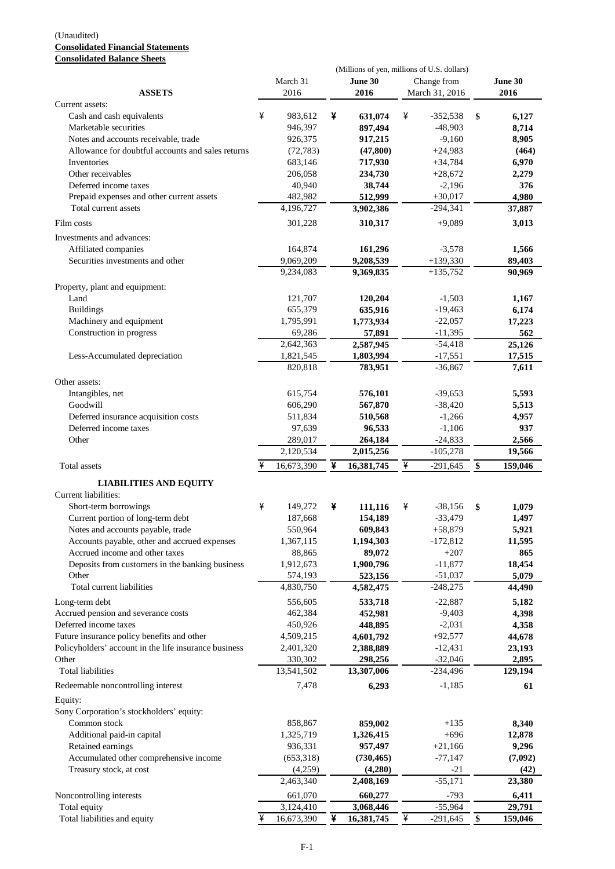#### (Unaudited) **Consolidated Financial Statements Consolidated Balance Sheets**

|                                                       |   |                      |   | (Millions of yen, millions of U.S. dollars) |   |                         |               |
|-------------------------------------------------------|---|----------------------|---|---------------------------------------------|---|-------------------------|---------------|
|                                                       |   | March 31             |   | June 30                                     |   | Change from             | June 30       |
| <b>ASSETS</b>                                         |   | 2016                 |   | 2016                                        |   | March 31, 2016          | 2016          |
| Current assets:                                       |   |                      |   |                                             |   |                         |               |
| Cash and cash equivalents                             | ¥ | 983,612              | ¥ | 631,074                                     | ¥ | $-352,538$              | \$<br>6,127   |
| Marketable securities                                 |   | 946,397              |   | 897,494                                     |   | $-48,903$               | 8,714         |
| Notes and accounts receivable, trade                  |   | 926,375              |   | 917,215                                     |   | $-9,160$                | 8,905         |
| Allowance for doubtful accounts and sales returns     |   | (72, 783)            |   | (47, 800)                                   |   | $+24,983$               | (464)         |
| Inventories                                           |   | 683,146              |   | 717,930                                     |   | $+34,784$               | 6,970         |
| Other receivables                                     |   | 206,058              |   | 234,730                                     |   | $+28,672$               | 2,279         |
| Deferred income taxes                                 |   | 40,940               |   | 38,744                                      |   | $-2,196$                | 376           |
| Prepaid expenses and other current assets             |   | 482,982              |   | 512,999                                     |   | $+30,017$               | 4,980         |
| Total current assets                                  |   | 4,196,727            |   | 3,902,386                                   |   | $-294,341$              | 37,887        |
| Film costs                                            |   | 301,228              |   | 310,317                                     |   | $+9,089$                | 3,013         |
| Investments and advances:                             |   |                      |   |                                             |   |                         |               |
| Affiliated companies                                  |   | 164,874              |   | 161,296                                     |   | $-3,578$                | 1,566         |
| Securities investments and other                      |   | 9,069,209            |   | 9,208,539                                   |   | $+139,330$              | 89,403        |
|                                                       |   | 9,234,083            |   | 9,369,835                                   |   | $+135,752$              | 90,969        |
| Property, plant and equipment:                        |   |                      |   |                                             |   |                         |               |
| Land                                                  |   | 121,707              |   | 120,204                                     |   | $-1,503$                | 1,167         |
| <b>Buildings</b>                                      |   | 655,379              |   | 635,916                                     |   | $-19,463$               | 6,174         |
| Machinery and equipment                               |   | 1,795,991            |   | 1,773,934                                   |   | $-22,057$               | 17,223        |
| Construction in progress                              |   | 69,286               |   | 57,891                                      |   | $-11,395$               | 562           |
|                                                       |   | 2,642,363            |   | 2,587,945                                   |   | $-54,418$               | 25,126        |
| Less-Accumulated depreciation                         |   | 1,821,545            |   | 1,803,994                                   |   | $-17,551$               | 17,515        |
|                                                       |   | 820,818              |   | 783,951                                     |   | $-36,867$               | 7,611         |
| Other assets:                                         |   |                      |   |                                             |   |                         |               |
| Intangibles, net                                      |   | 615,754              |   | 576,101                                     |   | $-39,653$               | 5,593         |
| Goodwill                                              |   | 606,290              |   | 567,870                                     |   | $-38,420$               | 5,513         |
| Deferred insurance acquisition costs                  |   | 511,834              |   | 510,568                                     |   | $-1,266$                | 4,957         |
| Deferred income taxes                                 |   | 97,639               |   | 96,533                                      |   | $-1,106$                | 937           |
| Other                                                 |   | 289,017              |   | 264,184                                     |   | $-24,833$               | 2,566         |
|                                                       |   | 2,120,534            |   | 2,015,256                                   |   | $-105,278$              | 19,566        |
| Total assets                                          | ¥ | 16,673,390           | ¥ | 16,381,745                                  | ¥ | $-291,645$              | \$<br>159,046 |
| <b>LIABILITIES AND EQUITY</b>                         |   |                      |   |                                             |   |                         |               |
| Current liabilities:                                  |   |                      |   |                                             |   |                         |               |
| Short-term borrowings                                 | ¥ | 149,272              | ¥ | 111,116                                     | ¥ | $-38,156$               | \$<br>1,079   |
| Current portion of long-term debt                     |   | 187,668              |   | 154,189                                     |   | $-33,479$               | 1,497         |
| Notes and accounts payable, trade                     |   | 550,964              |   | 609,843                                     |   | $+58,879$               | 5,921         |
| Accounts payable, other and accrued expenses          |   | 1,367,115            |   | 1,194,303                                   |   | $-172,812$              | 11,595        |
| Accrued income and other taxes                        |   | 88,865               |   | 89,072                                      |   | $+207$                  | 865           |
| Deposits from customers in the banking business       |   | 1,912,673            |   | 1,900,796                                   |   | $-11,877$               |               |
| Other                                                 |   |                      |   |                                             |   |                         | 18,454        |
| Total current liabilities                             |   | 574,193<br>4,830,750 |   | 523,156                                     |   | $-51,037$<br>$-248,275$ | 5,079         |
|                                                       |   |                      |   | 4,582,475                                   |   |                         | 44,490        |
| Long-term debt                                        |   | 556,605              |   | 533,718                                     |   | $-22,887$               | 5,182         |
| Accrued pension and severance costs                   |   | 462,384              |   | 452,981                                     |   | $-9,403$                | 4,398         |
| Deferred income taxes                                 |   | 450,926              |   | 448,895                                     |   | $-2,031$                | 4,358         |
| Future insurance policy benefits and other            |   | 4,509,215            |   | 4,601,792                                   |   | $+92,577$               | 44,678        |
| Policyholders' account in the life insurance business |   | 2,401,320            |   | 2,388,889                                   |   | $-12,431$               | 23,193        |
| Other                                                 |   | 330,302              |   | 298,256                                     |   | $-32,046$               | 2,895         |
| <b>Total liabilities</b>                              |   | 13,541,502           |   | 13,307,006                                  |   | $-234,496$              | 129,194       |
| Redeemable noncontrolling interest                    |   | 7,478                |   | 6,293                                       |   | $-1,185$                | 61            |
| Equity:                                               |   |                      |   |                                             |   |                         |               |
| Sony Corporation's stockholders' equity:              |   |                      |   |                                             |   |                         |               |
| Common stock                                          |   | 858,867              |   | 859,002                                     |   | $+135$                  | 8,340         |
| Additional paid-in capital                            |   | 1,325,719            |   | 1,326,415                                   |   | $+696$                  | 12,878        |
| Retained earnings                                     |   | 936,331              |   | 957,497                                     |   | $+21,166$               | 9,296         |
| Accumulated other comprehensive income                |   | (653,318)            |   | (730, 465)                                  |   | $-77,147$               | (7,092)       |
| Treasury stock, at cost                               |   | (4,259)              |   | (4,280)                                     |   | $-21$                   | (42)          |
|                                                       |   | 2,463,340            |   | 2,408,169                                   |   | $-55,171$               | 23,380        |
| Noncontrolling interests                              |   | 661,070              |   | 660,277                                     |   | $-793$                  | 6,411         |
| Total equity                                          |   | 3,124,410            |   | 3,068,446                                   |   | $-55,964$               | 29,791        |
| Total liabilities and equity                          | ¥ | 16,673,390           | ¥ | 16,381,745                                  | ¥ | $-291,645$              | \$<br>159,046 |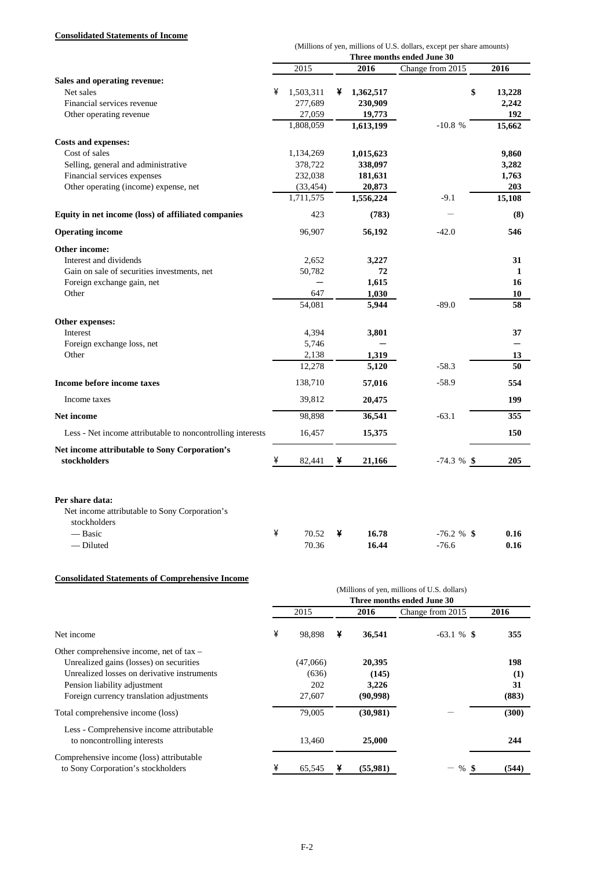### **Consolidated Statements of Income**

|                                                                                  |   |           |   |           | (Millions of yen, millions of U.S. dollars, except per share amounts) |        |
|----------------------------------------------------------------------------------|---|-----------|---|-----------|-----------------------------------------------------------------------|--------|
|                                                                                  |   |           |   |           | Three months ended June 30                                            |        |
|                                                                                  |   | 2015      |   | 2016      | Change from 2015                                                      | 2016   |
| Sales and operating revenue:                                                     |   |           |   |           |                                                                       |        |
| Net sales                                                                        | ¥ | 1,503,311 | ¥ | 1,362,517 | \$                                                                    | 13,228 |
| Financial services revenue                                                       |   | 277,689   |   | 230,909   |                                                                       | 2,242  |
| Other operating revenue                                                          |   | 27,059    |   | 19,773    |                                                                       | 192    |
|                                                                                  |   | 1,808,059 |   | 1,613,199 | $-10.8%$                                                              | 15,662 |
| <b>Costs and expenses:</b>                                                       |   |           |   |           |                                                                       |        |
| Cost of sales                                                                    |   | 1,134,269 |   | 1,015,623 |                                                                       | 9,860  |
| Selling, general and administrative                                              |   | 378,722   |   | 338,097   |                                                                       | 3,282  |
| Financial services expenses                                                      |   | 232,038   |   | 181,631   |                                                                       | 1,763  |
| Other operating (income) expense, net                                            |   | (33, 454) |   | 20,873    |                                                                       | 203    |
|                                                                                  |   | 1,711,575 |   | 1,556,224 | $-9.1$                                                                | 15,108 |
| Equity in net income (loss) of affiliated companies                              |   | 423       |   | (783)     |                                                                       | (8)    |
| <b>Operating income</b>                                                          |   | 96,907    |   | 56,192    | $-42.0$                                                               | 546    |
| Other income:                                                                    |   |           |   |           |                                                                       |        |
| Interest and dividends                                                           |   | 2,652     |   | 3,227     |                                                                       | 31     |
| Gain on sale of securities investments, net                                      |   | 50,782    |   | 72        |                                                                       | 1      |
| Foreign exchange gain, net                                                       |   |           |   | 1,615     |                                                                       | 16     |
| Other                                                                            |   | 647       |   | 1,030     |                                                                       | 10     |
|                                                                                  |   | 54,081    |   | 5,944     | $-89.0$                                                               | 58     |
| Other expenses:                                                                  |   |           |   |           |                                                                       |        |
| Interest                                                                         |   | 4,394     |   | 3,801     |                                                                       | 37     |
| Foreign exchange loss, net                                                       |   | 5,746     |   |           |                                                                       |        |
| Other                                                                            |   | 2,138     |   | 1,319     |                                                                       | 13     |
|                                                                                  |   | 12,278    |   | 5,120     | $-58.3$                                                               | 50     |
| Income before income taxes                                                       |   | 138,710   |   | 57,016    | $-58.9$                                                               | 554    |
| Income taxes                                                                     |   | 39,812    |   | 20,475    |                                                                       | 199    |
| <b>Net income</b>                                                                |   | 98,898    |   | 36,541    | $-63.1$                                                               | 355    |
| Less - Net income attributable to noncontrolling interests                       |   | 16,457    |   | 15,375    |                                                                       | 150    |
| Net income attributable to Sony Corporation's                                    |   |           |   |           |                                                                       |        |
| stockholders                                                                     | ¥ | 82,441    | ¥ | 21,166    | $-74.3 \%$ \$                                                         | 205    |
| Per share data:<br>Net income attributable to Sony Corporation's<br>stockholders |   |           |   |           |                                                                       |        |
| — Basic                                                                          | ¥ | 70.52     | ¥ | 16.78     | $-76.2 \%$ \$                                                         | 0.16   |

#### **Consolidated Statements of Comprehensive Income**

|                                                                                |                            |          |   |          | (Millions of yen, millions of U.S. dollars) |       |  |  |  |  |  |
|--------------------------------------------------------------------------------|----------------------------|----------|---|----------|---------------------------------------------|-------|--|--|--|--|--|
|                                                                                | Three months ended June 30 |          |   |          |                                             |       |  |  |  |  |  |
|                                                                                |                            | 2015     |   | 2016     | Change from 2015                            | 2016  |  |  |  |  |  |
| Net income                                                                     | ¥                          | 98.898   | ¥ | 36,541   | $-63.1 \%$ \$                               | 355   |  |  |  |  |  |
| Other comprehensive income, net of $tax -$                                     |                            |          |   |          |                                             |       |  |  |  |  |  |
| Unrealized gains (losses) on securities                                        |                            | (47,066) |   | 20,395   |                                             | 198   |  |  |  |  |  |
| Unrealized losses on derivative instruments                                    |                            | (636)    |   | (145)    |                                             | (1)   |  |  |  |  |  |
| Pension liability adjustment                                                   |                            | 202      |   | 3,226    |                                             | 31    |  |  |  |  |  |
| Foreign currency translation adjustments                                       |                            | 27,607   |   | (90,998) |                                             | (883) |  |  |  |  |  |
| Total comprehensive income (loss)                                              |                            | 79,005   |   | (30,981) |                                             | (300) |  |  |  |  |  |
| Less - Comprehensive income attributable<br>to noncontrolling interests        |                            | 13,460   |   | 25,000   |                                             | 244   |  |  |  |  |  |
| Comprehensive income (loss) attributable<br>to Sony Corporation's stockholders |                            | 65,545   | ¥ | (55,981) | %                                           | (544) |  |  |  |  |  |

— Diluted 70.36 **16.44** -76.6 **0.16**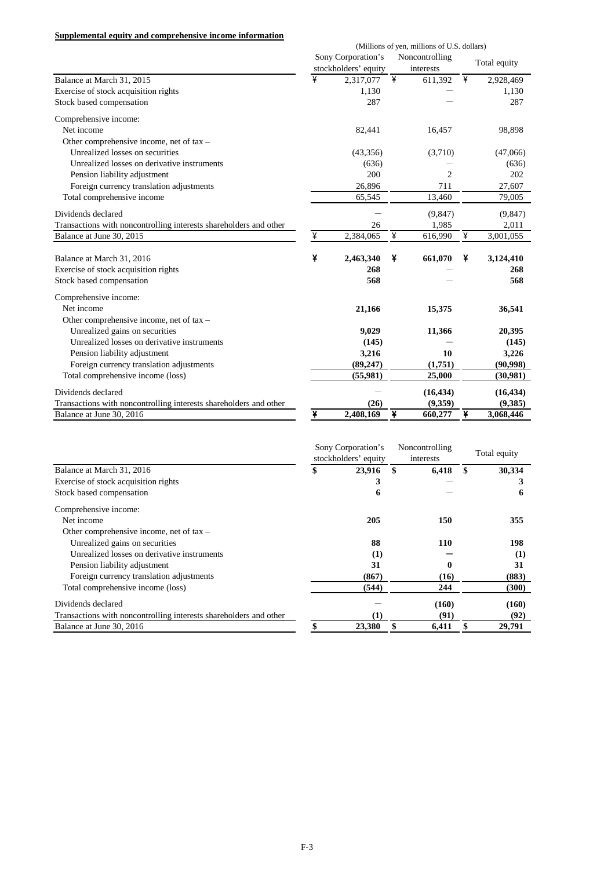#### **Supplemental equity and comprehensive income information**

|                                                                   | (Millions of yen, millions of U.S. dollars) |                      |           |                |   |              |  |
|-------------------------------------------------------------------|---------------------------------------------|----------------------|-----------|----------------|---|--------------|--|
|                                                                   |                                             | Sony Corporation's   |           | Noncontrolling |   | Total equity |  |
|                                                                   |                                             | stockholders' equity | interests |                |   |              |  |
| Balance at March 31, 2015                                         | ¥                                           | 2,317,077            | ¥         | 611,392        | ¥ | 2,928,469    |  |
| Exercise of stock acquisition rights                              |                                             | 1,130                |           |                |   | 1,130        |  |
| Stock based compensation                                          |                                             | 287                  |           |                |   | 287          |  |
| Comprehensive income:                                             |                                             |                      |           |                |   |              |  |
| Net income                                                        |                                             | 82,441               |           | 16,457         |   | 98,898       |  |
| Other comprehensive income, net of tax -                          |                                             |                      |           |                |   |              |  |
| Unrealized losses on securities                                   |                                             | (43,356)             |           | (3,710)        |   | (47,066)     |  |
| Unrealized losses on derivative instruments                       |                                             | (636)                |           |                |   | (636)        |  |
| Pension liability adjustment                                      |                                             | 200                  |           | $\overline{c}$ |   | 202          |  |
| Foreign currency translation adjustments                          |                                             | 26,896               |           | 711            |   | 27,607       |  |
| Total comprehensive income                                        |                                             | 65,545               |           | 13,460         |   | 79,005       |  |
| Dividends declared                                                |                                             |                      |           | (9, 847)       |   | (9, 847)     |  |
| Transactions with noncontrolling interests shareholders and other |                                             | 26                   |           | 1,985          |   | 2,011        |  |
| Balance at June 30, 2015                                          | ¥                                           | 2,384,065            | ¥         | 616,990        | ¥ | 3,001,055    |  |
| Balance at March 31, 2016                                         | ¥                                           | 2,463,340            | ¥         | 661,070        | ¥ | 3,124,410    |  |
| Exercise of stock acquisition rights                              |                                             | 268                  |           |                |   | 268          |  |
| Stock based compensation                                          |                                             | 568                  |           |                |   | 568          |  |
| Comprehensive income:                                             |                                             |                      |           |                |   |              |  |
| Net income                                                        |                                             | 21,166               |           | 15,375         |   | 36,541       |  |
| Other comprehensive income, net of tax -                          |                                             |                      |           |                |   |              |  |
| Unrealized gains on securities                                    |                                             | 9,029                |           | 11,366         |   | 20,395       |  |
| Unrealized losses on derivative instruments                       |                                             | (145)                |           |                |   | (145)        |  |
| Pension liability adjustment                                      |                                             | 3,216                |           | 10             |   | 3,226        |  |
| Foreign currency translation adjustments                          |                                             | (89, 247)            |           | (1,751)        |   | (90, 998)    |  |
| Total comprehensive income (loss)                                 |                                             | (55,981)             |           | 25,000         |   | (30,981)     |  |
| Dividends declared                                                |                                             |                      |           | (16, 434)      |   | (16, 434)    |  |
| Transactions with noncontrolling interests shareholders and other |                                             | (26)                 |           | (9, 359)       |   | (9,385)      |  |
| Balance at June 30, 2016                                          | ¥                                           | 2,408,169            | ¥         | 660,277        | ¥ | 3,068,446    |  |

|                                                                   | Sony Corporation's<br>stockholders' equity | Noncontrolling<br>interests |            | Total equity |
|-------------------------------------------------------------------|--------------------------------------------|-----------------------------|------------|--------------|
| Balance at March 31, 2016                                         | \$<br>23,916                               | \$                          | 6,418      | 30,334       |
| Exercise of stock acquisition rights                              |                                            |                             |            |              |
| Stock based compensation                                          | 6                                          |                             |            | 6            |
| Comprehensive income:                                             |                                            |                             |            |              |
| Net income                                                        | 205                                        |                             | 150        | 355          |
| Other comprehensive income, net of $tax -$                        |                                            |                             |            |              |
| Unrealized gains on securities                                    | 88                                         |                             | <b>110</b> | 198          |
| Unrealized losses on derivative instruments                       | (1)                                        |                             |            | (1)          |
| Pension liability adjustment                                      | 31                                         |                             | 0          | 31           |
| Foreign currency translation adjustments                          | (867)                                      |                             | (16)       | (883)        |
| Total comprehensive income (loss)                                 | (544)                                      |                             | 244        | (300)        |
| Dividends declared                                                |                                            |                             | (160)      | (160)        |
| Transactions with noncontrolling interests shareholders and other | (1)                                        |                             | (91)       | (92)         |
| Balance at June 30, 2016                                          | 23,380                                     | \$                          | 6,411      | \$<br>29,791 |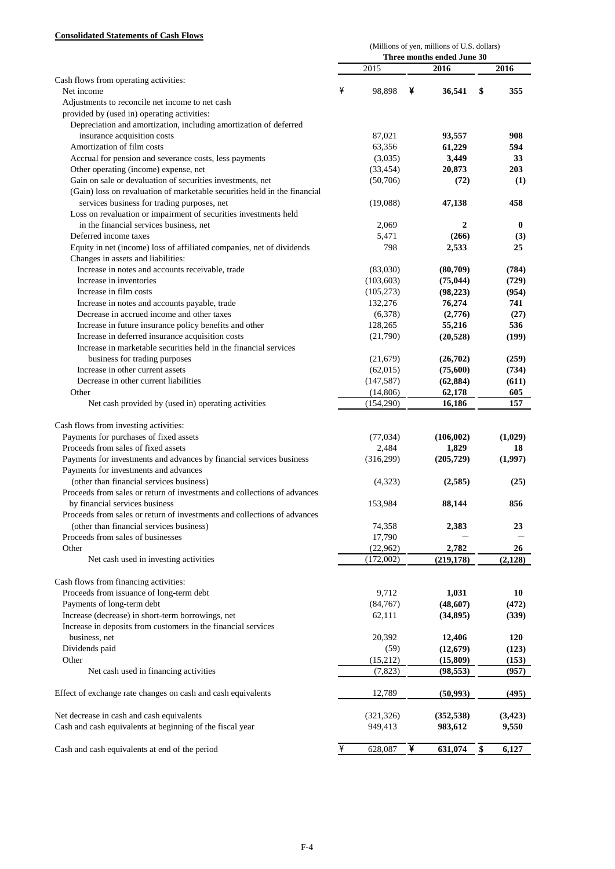### **Consolidated Statements of Cash Flows**

|                                                                                                                                         | (Millions of yen, millions of U.S. dollars)<br>Three months ended June 30 |            |   |              |    |          |  |
|-----------------------------------------------------------------------------------------------------------------------------------------|---------------------------------------------------------------------------|------------|---|--------------|----|----------|--|
|                                                                                                                                         |                                                                           |            |   |              |    |          |  |
|                                                                                                                                         |                                                                           | 2015       |   | 2016         |    | 2016     |  |
| Cash flows from operating activities:                                                                                                   |                                                                           |            |   |              |    |          |  |
| Net income                                                                                                                              | ¥                                                                         | 98,898     | ¥ | 36,541       | \$ | 355      |  |
| Adjustments to reconcile net income to net cash                                                                                         |                                                                           |            |   |              |    |          |  |
| provided by (used in) operating activities:                                                                                             |                                                                           |            |   |              |    |          |  |
| Depreciation and amortization, including amortization of deferred                                                                       |                                                                           |            |   |              |    |          |  |
| insurance acquisition costs                                                                                                             |                                                                           | 87,021     |   | 93,557       |    | 908      |  |
| Amortization of film costs                                                                                                              |                                                                           | 63,356     |   | 61,229       |    | 594      |  |
| Accrual for pension and severance costs, less payments                                                                                  |                                                                           | (3,035)    |   | 3,449        |    | 33       |  |
| Other operating (income) expense, net                                                                                                   |                                                                           | (33, 454)  |   | 20,873       |    | 203      |  |
| Gain on sale or devaluation of securities investments, net<br>(Gain) loss on revaluation of marketable securities held in the financial |                                                                           | (50,706)   |   | (72)         |    | (1)      |  |
| services business for trading purposes, net                                                                                             |                                                                           | (19,088)   |   | 47,138       |    | 458      |  |
| Loss on revaluation or impairment of securities investments held                                                                        |                                                                           |            |   |              |    |          |  |
| in the financial services business, net                                                                                                 |                                                                           | 2,069      |   | $\mathbf{2}$ |    | $\bf{0}$ |  |
| Deferred income taxes                                                                                                                   |                                                                           | 5,471      |   | (266)        |    | (3)      |  |
| Equity in net (income) loss of affiliated companies, net of dividends                                                                   |                                                                           | 798        |   | 2,533        |    | 25       |  |
| Changes in assets and liabilities:                                                                                                      |                                                                           |            |   |              |    |          |  |
| Increase in notes and accounts receivable, trade                                                                                        |                                                                           | (83,030)   |   | (80,709)     |    | (784)    |  |
| Increase in inventories                                                                                                                 |                                                                           | (103, 603) |   | (75, 044)    |    | (729)    |  |
| Increase in film costs                                                                                                                  |                                                                           | (105, 273) |   | (98, 223)    |    | (954)    |  |
| Increase in notes and accounts payable, trade                                                                                           |                                                                           | 132,276    |   | 76,274       |    | 741      |  |
| Decrease in accrued income and other taxes                                                                                              |                                                                           | (6,378)    |   | (2,776)      |    | (27)     |  |
| Increase in future insurance policy benefits and other                                                                                  |                                                                           | 128,265    |   | 55,216       |    | 536      |  |
| Increase in deferred insurance acquisition costs                                                                                        |                                                                           | (21,790)   |   | (20, 528)    |    | (199)    |  |
| Increase in marketable securities held in the financial services                                                                        |                                                                           |            |   |              |    |          |  |
| business for trading purposes                                                                                                           |                                                                           | (21,679)   |   | (26,702)     |    | (259)    |  |
| Increase in other current assets                                                                                                        |                                                                           | (62,015)   |   | (75,600)     |    | (734)    |  |
| Decrease in other current liabilities                                                                                                   |                                                                           | (147, 587) |   | (62, 884)    |    | (611)    |  |
| Other                                                                                                                                   |                                                                           | (14, 806)  |   | 62,178       |    | 605      |  |
| Net cash provided by (used in) operating activities                                                                                     |                                                                           | (154, 290) |   | 16,186       |    | 157      |  |
|                                                                                                                                         |                                                                           |            |   |              |    |          |  |
| Cash flows from investing activities:                                                                                                   |                                                                           |            |   |              |    |          |  |
| Payments for purchases of fixed assets                                                                                                  |                                                                           | (77, 034)  |   | (106, 002)   |    | (1,029)  |  |
| Proceeds from sales of fixed assets                                                                                                     |                                                                           | 2,484      |   | 1,829        |    | 18       |  |
|                                                                                                                                         |                                                                           |            |   |              |    | (1,997)  |  |
| Payments for investments and advances by financial services business                                                                    |                                                                           | (316,299)  |   | (205, 729)   |    |          |  |
| Payments for investments and advances                                                                                                   |                                                                           |            |   |              |    |          |  |
| (other than financial services business)                                                                                                |                                                                           | (4,323)    |   | (2,585)      |    | (25)     |  |
| Proceeds from sales or return of investments and collections of advances                                                                |                                                                           |            |   |              |    |          |  |
| by financial services business                                                                                                          |                                                                           | 153,984    |   | 88,144       |    | 856      |  |
| Proceeds from sales or return of investments and collections of advances                                                                |                                                                           |            |   |              |    |          |  |
| (other than financial services business)                                                                                                |                                                                           | 74,358     |   | 2,383        |    | 23       |  |
| Proceeds from sales of businesses                                                                                                       |                                                                           | 17,790     |   |              |    |          |  |
| Other                                                                                                                                   |                                                                           | (22,962)   |   | 2,782        |    | 26       |  |
| Net cash used in investing activities                                                                                                   |                                                                           | (172,002)  |   | (219, 178)   |    | (2,128)  |  |
|                                                                                                                                         |                                                                           |            |   |              |    |          |  |
| Cash flows from financing activities:                                                                                                   |                                                                           |            |   |              |    |          |  |
| Proceeds from issuance of long-term debt                                                                                                |                                                                           | 9,712      |   | 1,031        |    | 10       |  |
| Payments of long-term debt                                                                                                              |                                                                           | (84, 767)  |   | (48,607)     |    | (472)    |  |
| Increase (decrease) in short-term borrowings, net                                                                                       |                                                                           | 62,111     |   | (34,895)     |    | (339)    |  |
| Increase in deposits from customers in the financial services                                                                           |                                                                           |            |   |              |    |          |  |
| business, net                                                                                                                           |                                                                           | 20,392     |   | 12,406       |    | 120      |  |
| Dividends paid                                                                                                                          |                                                                           | (59)       |   | (12, 679)    |    | (123)    |  |
| Other                                                                                                                                   |                                                                           | (15,212)   |   | (15, 809)    |    | (153)    |  |
| Net cash used in financing activities                                                                                                   |                                                                           | (7, 823)   |   | (98, 553)    |    | (957)    |  |
|                                                                                                                                         |                                                                           |            |   |              |    |          |  |
| Effect of exchange rate changes on cash and cash equivalents                                                                            |                                                                           | 12,789     |   | (50, 993)    |    | (495)    |  |
| Net decrease in cash and cash equivalents                                                                                               |                                                                           | (321, 326) |   | (352, 538)   |    | (3,423)  |  |
| Cash and cash equivalents at beginning of the fiscal year                                                                               |                                                                           | 949,413    |   | 983,612      |    | 9,550    |  |
|                                                                                                                                         |                                                                           |            |   |              |    |          |  |
| Cash and cash equivalents at end of the period                                                                                          | ¥                                                                         | 628,087    | ¥ | 631,074      | \$ | 6,127    |  |
|                                                                                                                                         |                                                                           |            |   |              |    |          |  |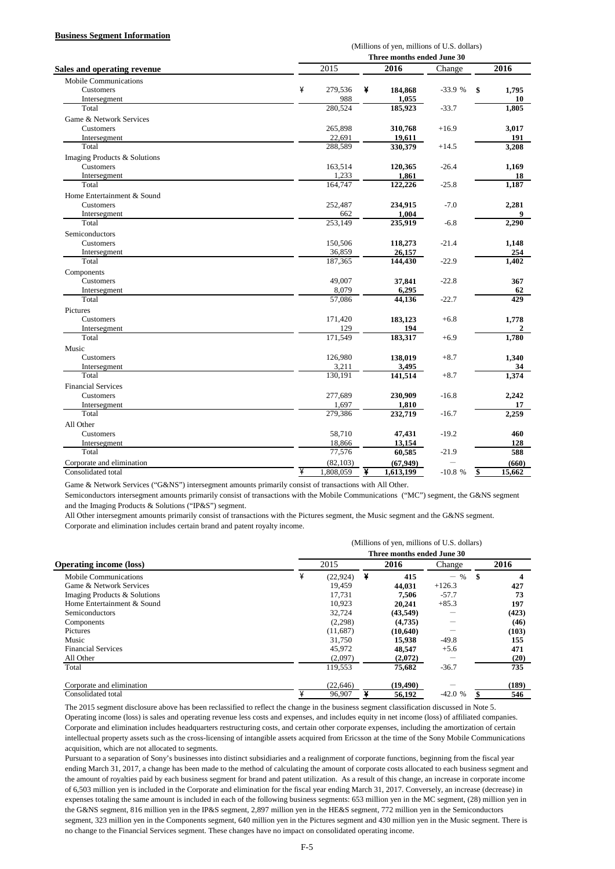#### **Business Segment Information**

|                                    |   | (Millions of yen, millions of U.S. dollars) |   |                            |          |    |        |  |  |  |
|------------------------------------|---|---------------------------------------------|---|----------------------------|----------|----|--------|--|--|--|
|                                    |   |                                             |   | Three months ended June 30 |          |    |        |  |  |  |
| <b>Sales and operating revenue</b> |   | $\sqrt{2015}$                               |   | 2016                       | Change   |    | 2016   |  |  |  |
| <b>Mobile Communications</b>       |   |                                             |   |                            |          |    |        |  |  |  |
| Customers                          | ¥ | 279,536                                     | ¥ | 184,868                    | $-33.9%$ | \$ | 1,795  |  |  |  |
| Intersegment                       |   | 988                                         |   | 1,055                      |          |    | 10     |  |  |  |
| Total                              |   | 280,524                                     |   | 185,923                    | $-33.7$  |    | 1,805  |  |  |  |
| Game & Network Services            |   |                                             |   |                            |          |    |        |  |  |  |
| Customers                          |   | 265,898                                     |   | 310,768                    | $+16.9$  |    | 3,017  |  |  |  |
| Intersegment                       |   | 22,691                                      |   | 19,611                     |          |    | 191    |  |  |  |
| Total                              |   | 288,589                                     |   | 330,379                    | $+14.5$  |    | 3,208  |  |  |  |
| Imaging Products & Solutions       |   |                                             |   |                            |          |    |        |  |  |  |
| Customers                          |   | 163,514                                     |   | 120,365                    | $-26.4$  |    | 1,169  |  |  |  |
| Intersegment                       |   | 1,233                                       |   | 1,861                      |          |    | 18     |  |  |  |
| Total                              |   | 164,747                                     |   | 122,226                    | $-25.8$  |    | 1,187  |  |  |  |
| Home Entertainment & Sound         |   |                                             |   |                            |          |    |        |  |  |  |
| Customers                          |   | 252,487                                     |   | 234,915                    | $-7.0$   |    | 2,281  |  |  |  |
| Intersegment                       |   | 662                                         |   | 1,004                      |          |    | 9      |  |  |  |
| Total                              |   | 253,149                                     |   | 235,919                    | $-6.8$   |    | 2,290  |  |  |  |
| Semiconductors                     |   |                                             |   |                            |          |    |        |  |  |  |
| Customers                          |   | 150,506                                     |   | 118,273                    | $-21.4$  |    | 1,148  |  |  |  |
| Intersegment                       |   | 36,859                                      |   | 26,157                     |          |    | 254    |  |  |  |
| Total                              |   | 187,365                                     |   | 144,430                    | $-22.9$  |    | 1,402  |  |  |  |
| Components                         |   |                                             |   |                            |          |    |        |  |  |  |
| Customers                          |   | 49,007                                      |   | 37,841                     | $-22.8$  |    | 367    |  |  |  |
| Intersegment                       |   | 8,079                                       |   | 6,295                      |          |    | 62     |  |  |  |
| Total                              |   | 57,086                                      |   | 44,136                     | $-22.7$  |    | 429    |  |  |  |
| Pictures                           |   |                                             |   |                            |          |    |        |  |  |  |
| Customers                          |   | 171,420                                     |   | 183,123                    | $+6.8$   |    | 1,778  |  |  |  |
| Intersegment                       |   | 129                                         |   | 194                        |          |    |        |  |  |  |
| Total                              |   | 171,549                                     |   | 183,317                    | $+6.9$   |    | 1,780  |  |  |  |
| Music                              |   |                                             |   |                            |          |    |        |  |  |  |
| Customers                          |   | 126,980                                     |   | 138,019                    | $+8.7$   |    | 1,340  |  |  |  |
|                                    |   | 3,211                                       |   | 3,495                      |          |    | 34     |  |  |  |
| Intersegment<br>Total              |   | 130,191                                     |   | 141,514                    | $+8.7$   |    | 1,374  |  |  |  |
|                                    |   |                                             |   |                            |          |    |        |  |  |  |
| <b>Financial Services</b>          |   |                                             |   |                            |          |    |        |  |  |  |
| Customers                          |   | 277,689                                     |   | 230,909                    | $-16.8$  |    | 2,242  |  |  |  |
| Intersegment                       |   | 1,697                                       |   | 1,810                      |          |    | 17     |  |  |  |
| Total                              |   | 279,386                                     |   | 232,719                    | $-16.7$  |    | 2,259  |  |  |  |
| All Other                          |   |                                             |   |                            |          |    |        |  |  |  |
| Customers                          |   | 58,710                                      |   | 47,431                     | $-19.2$  |    | 460    |  |  |  |
| Intersegment<br>Total              |   | 18,866<br>77,576                            |   | 13,154                     |          |    | 128    |  |  |  |
|                                    |   |                                             |   | 60,585                     | $-21.9$  |    | 588    |  |  |  |
| Corporate and elimination          |   | (82, 103)                                   |   | (67, 949)                  |          |    | (660)  |  |  |  |
| Consolidated total                 | ¥ | 1,808,059                                   | ¥ | 1,613,199                  | $-10.8%$ | \$ | 15,662 |  |  |  |

Game & Network Services ("G&NS") intersegment amounts primarily consist of transactions with All Other.

Semiconductors intersegment amounts primarily consist of transactions with the Mobile Communications ("MC") segment, the G&NS segment and the Imaging Products & Solutions ("IP&S") segment.

All Other intersegment amounts primarily consist of transactions with the Pictures segment, the Music segment and the G&NS segment. Corporate and elimination includes certain brand and patent royalty income.

|                                |   | (Millions of yen, millions of U.S. dollars)<br>Three months ended June 30 |   |           |          |    |       |  |  |  |
|--------------------------------|---|---------------------------------------------------------------------------|---|-----------|----------|----|-------|--|--|--|
|                                |   |                                                                           |   |           |          |    |       |  |  |  |
| <b>Operating income (loss)</b> |   | 2015                                                                      |   | 2016      | Change   |    | 2016  |  |  |  |
| Mobile Communications          | ¥ | (22, 924)                                                                 | ¥ | 415       | $-$ %    | S. | 4     |  |  |  |
| Game & Network Services        |   | 19.459                                                                    |   | 44,031    | $+126.3$ |    | 427   |  |  |  |
| Imaging Products & Solutions   |   | 17,731                                                                    |   | 7,506     | $-57.7$  |    | 73    |  |  |  |
| Home Entertainment & Sound     |   | 10.923                                                                    |   | 20,241    | $+85.3$  |    | 197   |  |  |  |
| Semiconductors                 |   | 32.724                                                                    |   | (43, 549) |          |    | (423) |  |  |  |
| Components                     |   | (2,298)                                                                   |   | (4,735)   |          |    | (46)  |  |  |  |
| Pictures                       |   | (11,687)                                                                  |   | (10,640)  |          |    | (103) |  |  |  |
| Music                          |   | 31,750                                                                    |   | 15.938    | $-49.8$  |    | 155   |  |  |  |
| <b>Financial Services</b>      |   | 45,972                                                                    |   | 48,547    | $+5.6$   |    | 471   |  |  |  |
| All Other                      |   | (2,097)                                                                   |   | (2,072)   |          |    | (20)  |  |  |  |
| Total                          |   | 119,553                                                                   |   | 75,682    | $-36.7$  |    | 735   |  |  |  |
| Corporate and elimination      |   | (22, 646)                                                                 |   | (19, 490) |          |    | (189) |  |  |  |
| Consolidated total             |   | 96.907                                                                    |   | 56.192    | $-42.0%$ |    | 546   |  |  |  |

The 2015 segment disclosure above has been reclassified to reflect the change in the business segment classification discussed in Note 5. Operating income (loss) is sales and operating revenue less costs and expenses, and includes equity in net income (loss) of affiliated companies. Corporate and elimination includes headquarters restructuring costs, and certain other corporate expenses, including the amortization of certain intellectual property assets such as the cross-licensing of intangible assets acquired from Ericsson at the time of the Sony Mobile Communications acquisition, which are not allocated to segments.

Pursuant to a separation of Sony's businesses into distinct subsidiaries and a realignment of corporate functions, beginning from the fiscal year ending March 31, 2017, a change has been made to the method of calculating the amount of corporate costs allocated to each business segment and the amount of royalties paid by each business segment for brand and patent utilization. As a result of this change, an increase in corporate income of 6,503 million yen is included in the Corporate and elimination for the fiscal year ending March 31, 2017. Conversely, an increase (decrease) in expenses totaling the same amount is included in each of the following business segments: 653 million yen in the MC segment, (28) million yen in the G&NS segment, 816 million yen in the IP&S segment, 2,897 million yen in the HE&S segment, 772 million yen in the Semiconductors segment, 323 million yen in the Components segment, 640 million yen in the Pictures segment and 430 million yen in the Music segment. There is no change to the Financial Services segment. These changes have no impact on consolidated operating income.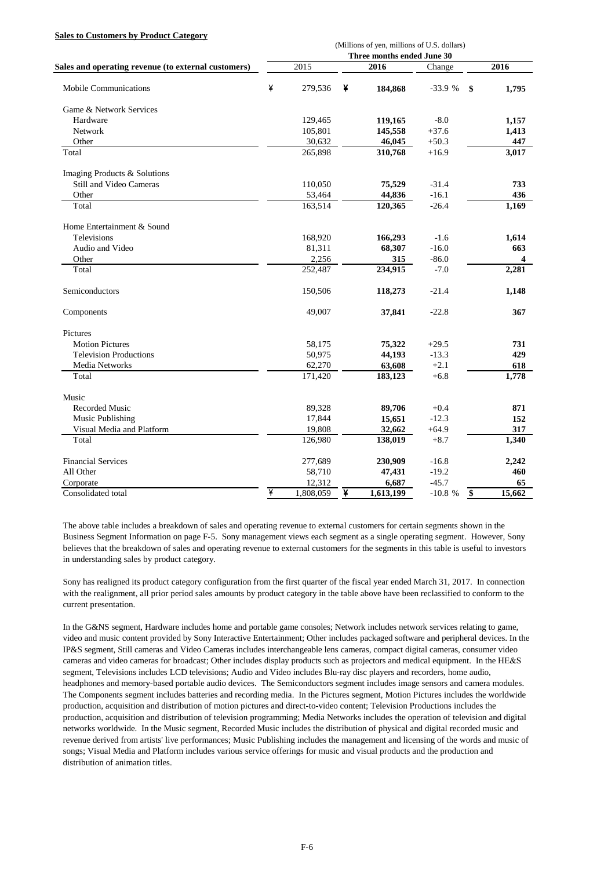#### **Sales to Customers by Product Category**

|                                                     | (Millions of yen, millions of U.S. dollars)<br>Three months ended June 30 |           |   |           |          |    |        |  |  |  |
|-----------------------------------------------------|---------------------------------------------------------------------------|-----------|---|-----------|----------|----|--------|--|--|--|
| Sales and operating revenue (to external customers) |                                                                           | 2015      |   | 2016      | Change   |    | 2016   |  |  |  |
|                                                     |                                                                           |           |   |           |          |    |        |  |  |  |
| Mobile Communications                               | ¥                                                                         | 279,536   | ¥ | 184,868   | $-33.9%$ | \$ | 1,795  |  |  |  |
| Game & Network Services                             |                                                                           |           |   |           |          |    |        |  |  |  |
| Hardware                                            |                                                                           | 129,465   |   | 119,165   | $-8.0$   |    | 1,157  |  |  |  |
| Network                                             |                                                                           | 105,801   |   | 145,558   | $+37.6$  |    | 1,413  |  |  |  |
| Other                                               |                                                                           | 30,632    |   | 46,045    | $+50.3$  |    | 447    |  |  |  |
| Total                                               |                                                                           | 265,898   |   | 310,768   | $+16.9$  |    | 3,017  |  |  |  |
| Imaging Products & Solutions                        |                                                                           |           |   |           |          |    |        |  |  |  |
| Still and Video Cameras                             |                                                                           | 110,050   |   | 75,529    | $-31.4$  |    | 733    |  |  |  |
| Other                                               |                                                                           | 53,464    |   | 44,836    | $-16.1$  |    | 436    |  |  |  |
| Total                                               |                                                                           | 163,514   |   | 120,365   | $-26.4$  |    | 1,169  |  |  |  |
| Home Entertainment & Sound                          |                                                                           |           |   |           |          |    |        |  |  |  |
| <b>Televisions</b>                                  |                                                                           | 168,920   |   | 166,293   | $-1.6$   |    | 1,614  |  |  |  |
| Audio and Video                                     |                                                                           | 81,311    |   | 68,307    | $-16.0$  |    | 663    |  |  |  |
| Other                                               |                                                                           | 2,256     |   | 315       | $-86.0$  |    | 4      |  |  |  |
| Total                                               |                                                                           | 252,487   |   | 234,915   | $-7.0$   |    | 2,281  |  |  |  |
| Semiconductors                                      |                                                                           | 150,506   |   | 118,273   | $-21.4$  |    | 1,148  |  |  |  |
| Components                                          |                                                                           | 49,007    |   | 37,841    | $-22.8$  |    | 367    |  |  |  |
| Pictures                                            |                                                                           |           |   |           |          |    |        |  |  |  |
| <b>Motion Pictures</b>                              |                                                                           | 58,175    |   | 75,322    | $+29.5$  |    | 731    |  |  |  |
| <b>Television Productions</b>                       |                                                                           | 50,975    |   | 44,193    | $-13.3$  |    | 429    |  |  |  |
| Media Networks                                      |                                                                           | 62,270    |   | 63,608    | $+2.1$   |    | 618    |  |  |  |
| Total                                               |                                                                           | 171,420   |   | 183,123   | $+6.8$   |    | 1,778  |  |  |  |
| Music                                               |                                                                           |           |   |           |          |    |        |  |  |  |
| <b>Recorded Music</b>                               |                                                                           | 89,328    |   | 89,706    | $+0.4$   |    | 871    |  |  |  |
| Music Publishing                                    |                                                                           | 17,844    |   | 15,651    | $-12.3$  |    | 152    |  |  |  |
| Visual Media and Platform                           |                                                                           | 19,808    |   | 32,662    | $+64.9$  |    | 317    |  |  |  |
| Total                                               |                                                                           | 126,980   |   | 138,019   | $+8.7$   |    | 1,340  |  |  |  |
| <b>Financial Services</b>                           |                                                                           | 277,689   |   | 230,909   | $-16.8$  |    | 2,242  |  |  |  |
| All Other                                           |                                                                           | 58,710    |   | 47,431    | $-19.2$  |    | 460    |  |  |  |
| Corporate                                           |                                                                           | 12,312    |   | 6,687     | $-45.7$  |    | 65     |  |  |  |
| Consolidated total                                  | ¥                                                                         | 1,808,059 | ¥ | 1,613,199 | $-10.8%$ | \$ | 15,662 |  |  |  |

The above table includes a breakdown of sales and operating revenue to external customers for certain segments shown in the Business Segment Information on page F-5. Sony management views each segment as a single operating segment. However, Sony believes that the breakdown of sales and operating revenue to external customers for the segments in this table is useful to investors in understanding sales by product category.

Sony has realigned its product category configuration from the first quarter of the fiscal year ended March 31, 2017. In connection with the realignment, all prior period sales amounts by product category in the table above have been reclassified to conform to the current presentation.

In the G&NS segment, Hardware includes home and portable game consoles; Network includes network services relating to game, video and music content provided by Sony Interactive Entertainment; Other includes packaged software and peripheral devices. In the IP&S segment, Still cameras and Video Cameras includes interchangeable lens cameras, compact digital cameras, consumer video cameras and video cameras for broadcast; Other includes display products such as projectors and medical equipment. In the HE&S segment, Televisions includes LCD televisions; Audio and Video includes Blu-ray disc players and recorders, home audio, headphones and memory-based portable audio devices. The Semiconductors segment includes image sensors and camera modules. The Components segment includes batteries and recording media. In the Pictures segment, Motion Pictures includes the worldwide production, acquisition and distribution of motion pictures and direct-to-video content; Television Productions includes the production, acquisition and distribution of television programming; Media Networks includes the operation of television and digital networks worldwide. In the Music segment, Recorded Music includes the distribution of physical and digital recorded music and revenue derived from artists' live performances; Music Publishing includes the management and licensing of the words and music of songs; Visual Media and Platform includes various service offerings for music and visual products and the production and distribution of animation titles.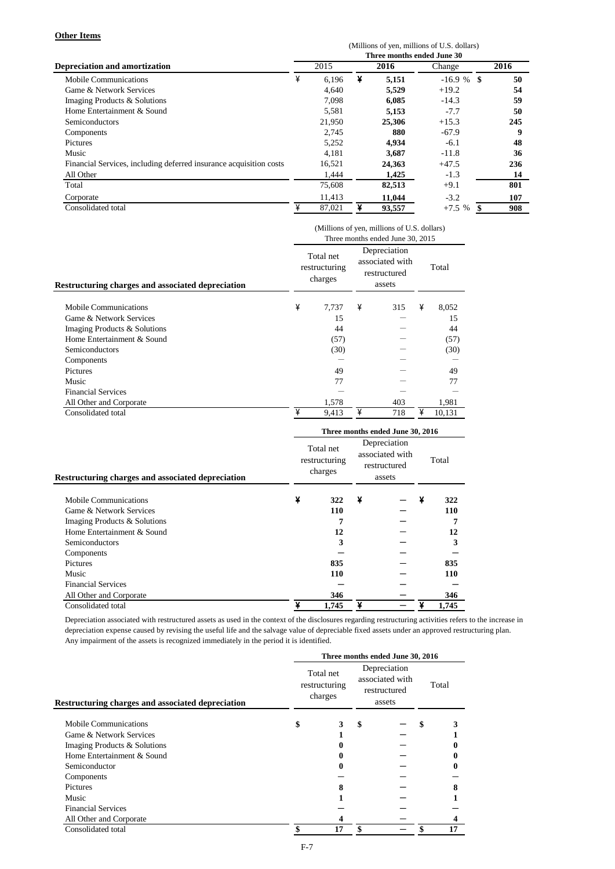#### **Other Items**

|                                                                    | (Millions of yen, millions of U.S. dollars)<br>Three months ended June 30 |        |      |        |          |      |  |  |  |  |
|--------------------------------------------------------------------|---------------------------------------------------------------------------|--------|------|--------|----------|------|--|--|--|--|
| <b>Depreciation and amortization</b>                               | 2015                                                                      |        | 2016 |        | Change   | 2016 |  |  |  |  |
| Mobile Communications                                              | ¥                                                                         | 6,196  | ¥    | 5,151  | $-16.9%$ | 50   |  |  |  |  |
| Game & Network Services                                            |                                                                           | 4,640  |      | 5.529  | $+19.2$  | 54   |  |  |  |  |
| Imaging Products & Solutions                                       |                                                                           | 7.098  |      | 6,085  | $-14.3$  | 59   |  |  |  |  |
| Home Entertainment & Sound                                         |                                                                           | 5,581  |      | 5,153  | $-7.7$   | 50   |  |  |  |  |
| <b>Semiconductors</b>                                              |                                                                           | 21,950 |      | 25,306 | $+15.3$  | 245  |  |  |  |  |
| Components                                                         |                                                                           | 2,745  |      | 880    | $-67.9$  | 9    |  |  |  |  |
| <b>Pictures</b>                                                    |                                                                           | 5,252  |      | 4,934  | $-6.1$   | 48   |  |  |  |  |
| Music                                                              |                                                                           | 4.181  |      | 3,687  | $-11.8$  | 36   |  |  |  |  |
| Financial Services, including deferred insurance acquisition costs |                                                                           | 16,521 |      | 24,363 | $+47.5$  | 236  |  |  |  |  |
| All Other                                                          |                                                                           | 1,444  |      | 1,425  | $-1.3$   | 14   |  |  |  |  |
| Total                                                              |                                                                           | 75,608 |      | 82,513 | $+9.1$   | 801  |  |  |  |  |
| Corporate                                                          |                                                                           | 11.413 |      | 11.044 | $-3.2$   | 107  |  |  |  |  |
| Consolidated total                                                 | ¥                                                                         | 87,021 | ¥    | 93,557 | $+7.5%$  | 908  |  |  |  |  |

|                                                   | (Millions of yen, millions of U.S. dollars)<br>Three months ended June 30, 2015 |                                       |   |                                                           |   |        |  |  |  |
|---------------------------------------------------|---------------------------------------------------------------------------------|---------------------------------------|---|-----------------------------------------------------------|---|--------|--|--|--|
| Restructuring charges and associated depreciation |                                                                                 | Total net<br>restructuring<br>charges |   | Depreciation<br>associated with<br>restructured<br>assets |   | Total  |  |  |  |
| Mobile Communications                             | ¥                                                                               | 7,737                                 | ¥ | 315                                                       | ¥ | 8,052  |  |  |  |
| Game & Network Services                           |                                                                                 | 15                                    |   |                                                           |   | 15     |  |  |  |
| Imaging Products & Solutions                      |                                                                                 | 44                                    |   |                                                           |   | 44     |  |  |  |
| Home Entertainment & Sound                        |                                                                                 | (57)                                  |   |                                                           |   | (57)   |  |  |  |
| Semiconductors                                    |                                                                                 | (30)                                  |   |                                                           |   | (30)   |  |  |  |
| Components                                        |                                                                                 |                                       |   |                                                           |   |        |  |  |  |
| <b>Pictures</b>                                   |                                                                                 | 49                                    |   |                                                           |   | 49     |  |  |  |
| Music                                             |                                                                                 | 77                                    |   |                                                           |   | 77     |  |  |  |
| <b>Financial Services</b>                         |                                                                                 |                                       |   |                                                           |   |        |  |  |  |
| All Other and Corporate                           |                                                                                 | 1,578                                 |   | 403                                                       |   | 1,981  |  |  |  |
| Consolidated total                                | ¥                                                                               | 9,413                                 | ¥ | 718                                                       | ¥ | 10.131 |  |  |  |

|                                                          | Three months ended June 30, 2016 |                                       |   |                                                           |       |       |  |  |
|----------------------------------------------------------|----------------------------------|---------------------------------------|---|-----------------------------------------------------------|-------|-------|--|--|
| <b>Restructuring charges and associated depreciation</b> |                                  | Total net<br>restructuring<br>charges |   | Depreciation<br>associated with<br>restructured<br>assets | Total |       |  |  |
| <b>Mobile Communications</b>                             | ¥                                | 322                                   | ¥ |                                                           | ¥     | 322   |  |  |
| Game & Network Services                                  |                                  | 110                                   |   |                                                           |       | 110   |  |  |
| Imaging Products & Solutions                             |                                  | 7                                     |   |                                                           |       | 7     |  |  |
| Home Entertainment & Sound                               |                                  | 12                                    |   |                                                           |       | 12    |  |  |
| Semiconductors                                           |                                  | 3                                     |   |                                                           |       | 3     |  |  |
| Components                                               |                                  |                                       |   |                                                           |       |       |  |  |
| <b>Pictures</b>                                          |                                  | 835                                   |   |                                                           |       | 835   |  |  |
| Music                                                    |                                  | 110                                   |   |                                                           |       | 110   |  |  |
| <b>Financial Services</b>                                |                                  |                                       |   |                                                           |       |       |  |  |
| All Other and Corporate                                  |                                  | 346                                   |   |                                                           |       | 346   |  |  |
| Consolidated total                                       | ¥                                | 1,745                                 | ¥ |                                                           |       | 1.745 |  |  |

Depreciation associated with restructured assets as used in the context of the disclosures regarding restructuring activities refers to the increase in depreciation expense caused by revising the useful life and the salvage value of depreciable fixed assets under an approved restructuring plan. Any impairment of the assets is recognized immediately in the period it is identified.

|                                                          | Three months ended June 30, 2016      |                                                           |    |  |       |    |  |  |
|----------------------------------------------------------|---------------------------------------|-----------------------------------------------------------|----|--|-------|----|--|--|
| <b>Restructuring charges and associated depreciation</b> | Total net<br>restructuring<br>charges | Depreciation<br>associated with<br>restructured<br>assets |    |  | Total |    |  |  |
| Mobile Communications                                    | \$                                    |                                                           | S  |  | \$    |    |  |  |
| Game & Network Services                                  |                                       |                                                           |    |  |       |    |  |  |
| Imaging Products & Solutions                             |                                       |                                                           |    |  |       |    |  |  |
| Home Entertainment & Sound                               |                                       |                                                           |    |  |       |    |  |  |
| Semiconductor                                            |                                       |                                                           |    |  |       |    |  |  |
| Components                                               |                                       |                                                           |    |  |       |    |  |  |
| <b>Pictures</b>                                          |                                       | 8                                                         |    |  |       | 8  |  |  |
| Music                                                    |                                       |                                                           |    |  |       |    |  |  |
| <b>Financial Services</b>                                |                                       |                                                           |    |  |       |    |  |  |
| All Other and Corporate                                  |                                       |                                                           |    |  |       |    |  |  |
| Consolidated total                                       |                                       | 17                                                        | \$ |  |       | 17 |  |  |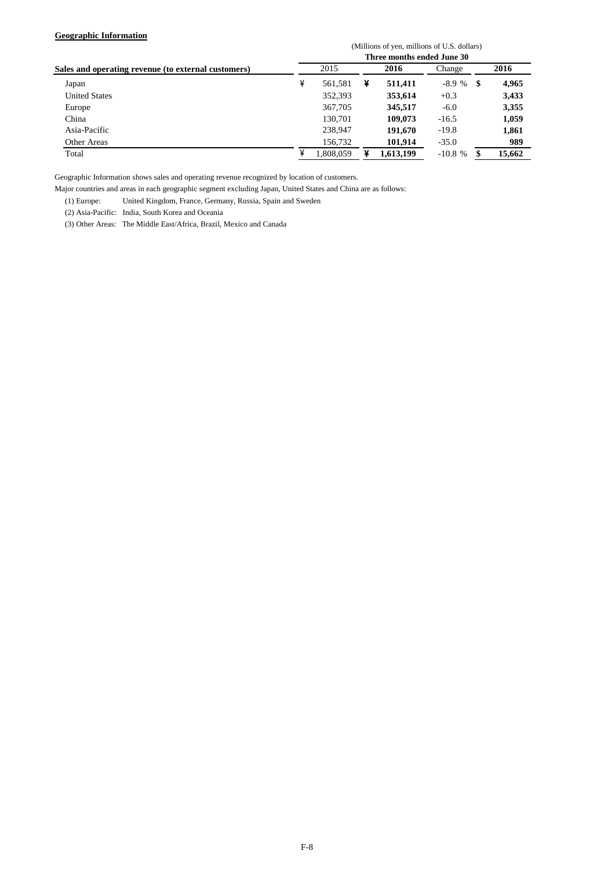#### **Geographic Information**

|                                                     | (Millions of yen, millions of U.S. dollars)<br>Three months ended June 30 |           |   |           |          |    |        |  |  |  |
|-----------------------------------------------------|---------------------------------------------------------------------------|-----------|---|-----------|----------|----|--------|--|--|--|
|                                                     |                                                                           |           |   |           |          |    |        |  |  |  |
| Sales and operating revenue (to external customers) |                                                                           | 2015      |   | 2016      | Change   |    | 2016   |  |  |  |
| Japan                                               | ¥                                                                         | 561.581   | ¥ | 511,411   | $-8.9%$  | \$ | 4,965  |  |  |  |
| <b>United States</b>                                |                                                                           | 352,393   |   | 353.614   | $+0.3$   |    | 3,433  |  |  |  |
| Europe                                              |                                                                           | 367,705   |   | 345,517   | $-6.0$   |    | 3,355  |  |  |  |
| China                                               |                                                                           | 130.701   |   | 109,073   | $-16.5$  |    | 1,059  |  |  |  |
| Asia-Pacific                                        |                                                                           | 238,947   |   | 191,670   | $-19.8$  |    | 1,861  |  |  |  |
| Other Areas                                         |                                                                           | 156,732   |   | 101,914   | $-35.0$  |    | 989    |  |  |  |
| Total                                               | ¥                                                                         | 1.808.059 |   | 1.613.199 | $-10.8%$ | \$ | 15.662 |  |  |  |

Geographic Information shows sales and operating revenue recognized by location of customers.

Major countries and areas in each geographic segment excluding Japan, United States and China are as follows:

(1) Europe: United Kingdom, France, Germany, Russia, Spain and Sweden

(2) Asia-Pacific: India, South Korea and Oceania

(3) Other Areas: The Middle East/Africa, Brazil, Mexico and Canada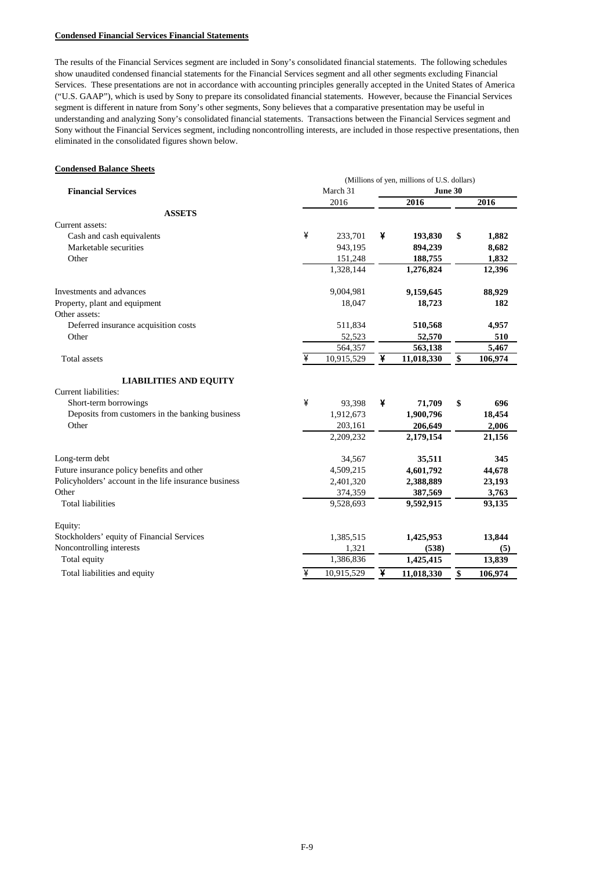#### **Condensed Financial Services Financial Statements**

The results of the Financial Services segment are included in Sony's consolidated financial statements. The following schedules show unaudited condensed financial statements for the Financial Services segment and all other segments excluding Financial Services. These presentations are not in accordance with accounting principles generally accepted in the United States of America ("U.S. GAAP"), which is used by Sony to prepare its consolidated financial statements. However, because the Financial Services segment is different in nature from Sony's other segments, Sony believes that a comparative presentation may be useful in understanding and analyzing Sony's consolidated financial statements. Transactions between the Financial Services segment and Sony without the Financial Services segment, including noncontrolling interests, are included in those respective presentations, then eliminated in the consolidated figures shown below.

#### **Condensed Balance Sheets**

|                                                       |   | (Millions of yen, millions of U.S. dollars) |         |            |    |         |  |
|-------------------------------------------------------|---|---------------------------------------------|---------|------------|----|---------|--|
| <b>Financial Services</b>                             |   | March 31                                    | June 30 |            |    |         |  |
|                                                       |   | 2016                                        |         | 2016       |    | 2016    |  |
| <b>ASSETS</b>                                         |   |                                             |         |            |    |         |  |
| Current assets:                                       |   |                                             |         |            |    |         |  |
| Cash and cash equivalents                             | ¥ | 233,701                                     | ¥       | 193,830    | \$ | 1,882   |  |
| Marketable securities                                 |   | 943,195                                     |         | 894,239    |    | 8,682   |  |
| Other                                                 |   | 151,248                                     |         | 188,755    |    | 1,832   |  |
|                                                       |   | 1,328,144                                   |         | 1,276,824  |    | 12,396  |  |
| Investments and advances                              |   | 9,004,981                                   |         | 9,159,645  |    | 88,929  |  |
| Property, plant and equipment                         |   | 18,047                                      |         | 18,723     |    | 182     |  |
| Other assets:                                         |   |                                             |         |            |    |         |  |
| Deferred insurance acquisition costs                  |   | 511,834                                     |         | 510,568    |    | 4,957   |  |
| Other                                                 |   | 52,523                                      |         | 52,570     |    | 510     |  |
|                                                       |   | 564,357                                     |         | 563,138    |    | 5,467   |  |
| Total assets                                          | ¥ | 10,915,529                                  | ¥       | 11,018,330 | \$ | 106,974 |  |
| <b>LIABILITIES AND EQUITY</b>                         |   |                                             |         |            |    |         |  |
| Current liabilities:                                  |   |                                             |         |            |    |         |  |
| Short-term borrowings                                 | ¥ | 93,398                                      | ¥       | 71,709     | \$ | 696     |  |
| Deposits from customers in the banking business       |   | 1,912,673                                   |         | 1,900,796  |    | 18,454  |  |
| Other                                                 |   | 203,161                                     |         | 206,649    |    | 2,006   |  |
|                                                       |   | 2,209,232                                   |         | 2,179,154  |    | 21,156  |  |
| Long-term debt                                        |   | 34,567                                      |         | 35,511     |    | 345     |  |
| Future insurance policy benefits and other            |   | 4,509,215                                   |         | 4,601,792  |    | 44,678  |  |
| Policyholders' account in the life insurance business |   | 2,401,320                                   |         | 2,388,889  |    | 23,193  |  |
| Other                                                 |   | 374,359                                     |         | 387,569    |    | 3,763   |  |
| <b>Total liabilities</b>                              |   | 9,528,693                                   |         | 9,592,915  |    | 93,135  |  |
| Equity:                                               |   |                                             |         |            |    |         |  |
| Stockholders' equity of Financial Services            |   | 1,385,515                                   |         | 1,425,953  |    | 13,844  |  |
| Noncontrolling interests                              |   | 1,321                                       |         | (538)      |    | (5)     |  |
| Total equity                                          |   | 1,386,836                                   |         | 1,425,415  |    | 13,839  |  |
| Total liabilities and equity                          | ¥ | 10,915,529                                  | ¥       | 11,018,330 | \$ | 106,974 |  |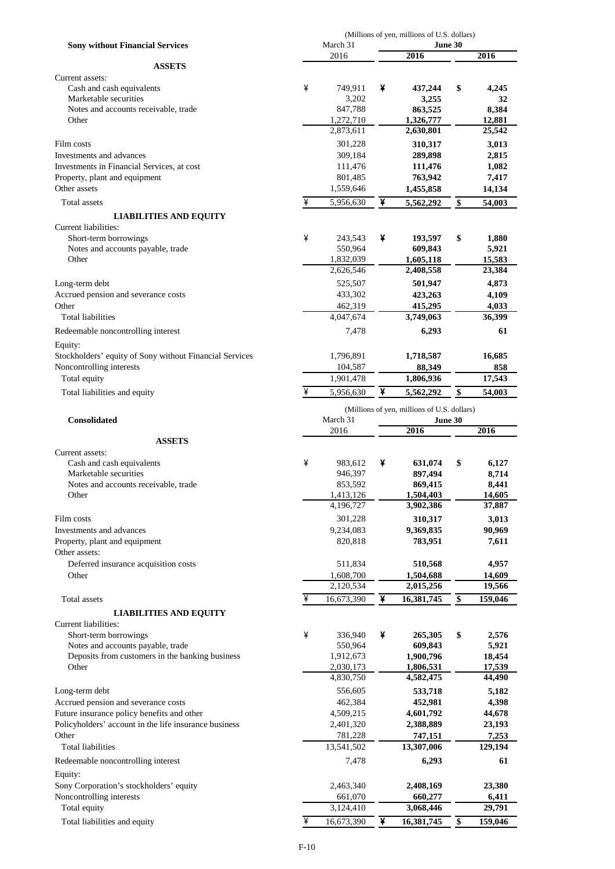|                                                         |   |                         |   | (Millions of yen, millions of U.S. dollars) |                         |
|---------------------------------------------------------|---|-------------------------|---|---------------------------------------------|-------------------------|
| <b>Sony without Financial Services</b>                  |   | March 31<br>2016        |   | <b>June 30</b>                              | 2016                    |
| <b>ASSETS</b>                                           |   |                         |   | 2016                                        |                         |
| Current assets:                                         |   |                         |   |                                             |                         |
| Cash and cash equivalents                               | ¥ | 749,911                 | ¥ | 437,244                                     | \$<br>4,245             |
| Marketable securities                                   |   | 3,202                   |   | 3,255                                       | 32                      |
| Notes and accounts receivable, trade                    |   | 847,788                 |   | 863,525                                     | 8,384                   |
| Other                                                   |   | 1,272,710               |   | 1,326,777                                   | 12,881                  |
|                                                         |   | 2,873,611               |   | 2,630,801                                   | 25,542                  |
| Film costs                                              |   | 301,228                 |   | 310,317                                     | 3,013                   |
| Investments and advances                                |   | 309,184                 |   | 289,898                                     | 2,815                   |
| Investments in Financial Services, at cost              |   | 111,476                 |   | 111,476                                     | 1,082                   |
| Property, plant and equipment                           |   | 801,485                 |   | 763,942                                     | 7,417                   |
| Other assets                                            |   | 1,559,646               |   | 1,455,858                                   | 14,134                  |
| Total assets                                            | ¥ | 5,956,630               | ¥ | 5,562,292                                   | \$<br>54,003            |
| <b>LIABILITIES AND EQUITY</b>                           |   |                         |   |                                             |                         |
| Current liabilities:                                    |   |                         |   |                                             |                         |
| Short-term borrowings                                   | ¥ | 243,543                 | ¥ | 193,597                                     | \$<br>1,880             |
| Notes and accounts payable, trade                       |   | 550,964                 |   | 609,843                                     | 5,921                   |
| Other                                                   |   | 1,832,039               |   | 1,605,118                                   | 15,583                  |
|                                                         |   | 2,626,546               |   | 2,408,558                                   | 23,384                  |
| Long-term debt                                          |   | 525,507                 |   | 501,947                                     | 4,873                   |
| Accrued pension and severance costs                     |   | 433,302                 |   | 423,263                                     | 4,109                   |
| Other                                                   |   | 462,319                 |   | 415,295                                     | 4,033                   |
| <b>Total liabilities</b>                                |   | 4,047,674               |   | 3,749,063                                   | 36,399                  |
| Redeemable noncontrolling interest                      |   | 7,478                   |   | 6,293                                       | 61                      |
| Equity:                                                 |   |                         |   |                                             |                         |
| Stockholders' equity of Sony without Financial Services |   | 1,796,891               |   | 1,718,587                                   | 16,685                  |
| Noncontrolling interests                                |   | 104,587                 |   | 88,349                                      | 858                     |
| Total equity                                            |   | 1,901,478               |   | 1,806,936                                   | 17,543                  |
|                                                         | ¥ | 5,956,630               | ¥ | 5,562,292                                   | \$<br>54,003            |
| Total liabilities and equity                            |   |                         |   |                                             |                         |
|                                                         |   |                         |   | (Millions of yen, millions of U.S. dollars) |                         |
| <b>Consolidated</b>                                     |   | March 31                |   | <b>June 30</b>                              |                         |
|                                                         |   |                         |   |                                             |                         |
|                                                         |   | 2016                    |   | 2016                                        | 2016                    |
| <b>ASSETS</b>                                           |   |                         |   |                                             |                         |
| Current assets:                                         |   |                         |   |                                             |                         |
| Cash and cash equivalents                               | ¥ | 983,612                 | ¥ | 631,074                                     | \$<br>6,127             |
| Marketable securities                                   |   | 946,397                 |   | 897,494                                     | 8,714                   |
| Notes and accounts receivable, trade                    |   | 853,592                 |   | 869,415                                     | 8,441                   |
| Other                                                   |   | 1,413,126               |   | 1,504,403                                   | 14,605                  |
|                                                         |   | 4,196,727               |   | 3,902,386                                   | 37,887                  |
| Film costs                                              |   | 301,228                 |   | 310,317                                     | 3,013                   |
| Investments and advances                                |   | 9,234,083               |   | 9,369,835                                   | 90,969                  |
| Property, plant and equipment                           |   | 820,818                 |   | 783,951                                     | 7,611                   |
| Other assets:                                           |   |                         |   |                                             |                         |
| Deferred insurance acquisition costs                    |   | 511,834                 |   | 510,568                                     | 4,957                   |
| Other                                                   |   | 1,608,700               |   | 1,504,688                                   | 14,609                  |
|                                                         |   | 2,120,534               |   | 2,015,256                                   | 19,566                  |
| Total assets                                            | ¥ | 16,673,390              | ¥ | 16,381,745                                  | \$<br>159,046           |
| <b>LIABILITIES AND EQUITY</b>                           |   |                         |   |                                             |                         |
| Current liabilities:                                    |   |                         |   |                                             |                         |
| Short-term borrowings                                   | ¥ | 336,940                 | ¥ | 265,305                                     | \$<br>2,576             |
| Notes and accounts payable, trade                       |   | 550,964                 |   | 609,843                                     | 5,921                   |
| Deposits from customers in the banking business         |   | 1,912,673               |   | 1,900,796                                   | 18,454                  |
| Other                                                   |   | 2,030,173               |   | 1,806,531                                   | 17,539                  |
|                                                         |   | 4,830,750               |   | 4,582,475                                   | 44,490                  |
| Long-term debt                                          |   | 556,605                 |   | 533,718                                     | 5,182                   |
| Accrued pension and severance costs                     |   | 462,384                 |   | 452,981                                     | 4,398                   |
| Future insurance policy benefits and other              |   | 4,509,215               |   | 4,601,792                                   | 44,678                  |
| Policyholders' account in the life insurance business   |   | 2,401,320               |   | 2,388,889                                   | 23,193                  |
| Other<br>Total liabilities                              |   | 781,228                 |   | 747,151                                     | 7,253                   |
|                                                         |   | 13,541,502              |   | 13,307,006                                  | 129,194                 |
| Redeemable noncontrolling interest                      |   | 7,478                   |   | 6,293                                       | 61                      |
| Equity:                                                 |   |                         |   |                                             |                         |
| Sony Corporation's stockholders' equity                 |   | 2,463,340               |   | 2,408,169                                   | 23,380                  |
| Noncontrolling interests                                |   | 661,070                 |   | 660,277                                     | 6,411                   |
| Total equity<br>Total liabilities and equity            | ¥ | 3,124,410<br>16,673,390 | ¥ | 3,068,446<br>16,381,745                     | \$<br>29,791<br>159,046 |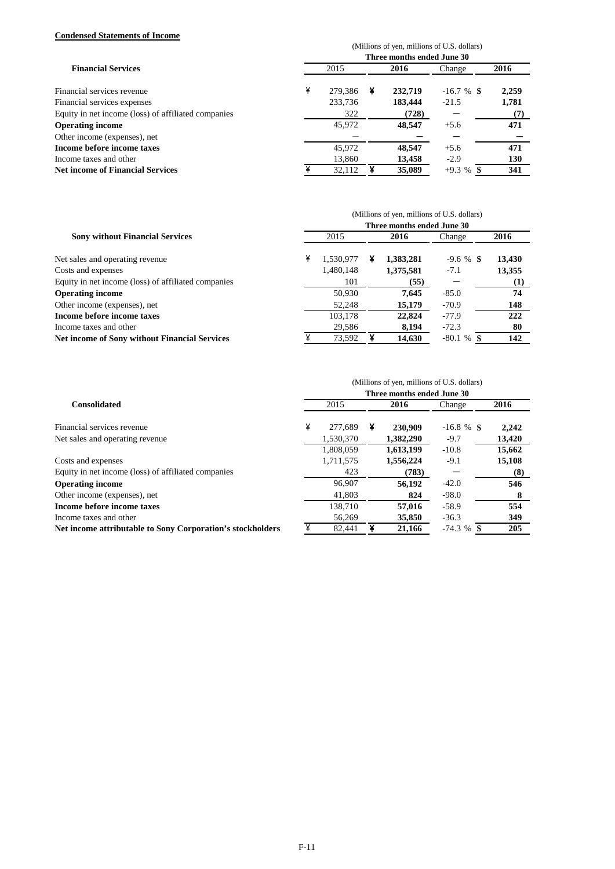#### **Condensed Statements of Income**

|                                                     | (Millions of yen, millions of U.S. dollars) |         |   |         |               |       |  |  |  |
|-----------------------------------------------------|---------------------------------------------|---------|---|---------|---------------|-------|--|--|--|
|                                                     | Three months ended June 30                  |         |   |         |               |       |  |  |  |
| <b>Financial Services</b>                           |                                             | 2015    |   |         | Change        | 2016  |  |  |  |
| Financial services revenue                          | ¥                                           | 279.386 | ¥ | 232,719 | $-16.7 \%$ \$ | 2,259 |  |  |  |
| Financial services expenses                         |                                             | 233,736 |   | 183,444 | $-21.5$       | 1,781 |  |  |  |
| Equity in net income (loss) of affiliated companies |                                             | 322     |   | (728)   |               | (7)   |  |  |  |
| <b>Operating income</b>                             |                                             | 45,972  |   | 48,547  | $+5.6$        | 471   |  |  |  |
| Other income (expenses), net                        |                                             |         |   |         |               |       |  |  |  |
| Income before income taxes                          |                                             | 45,972  |   | 48,547  | $+5.6$        | 471   |  |  |  |
| Income taxes and other                              |                                             | 13,860  |   | 13,458  | $-2.9$        | 130   |  |  |  |
| <b>Net income of Financial Services</b>             |                                             | 32.112  |   | 35,089  | $+9.3 \%$ \$  | 341   |  |  |  |

|                                                      | (Millions of yen, millions of U.S. dollars)<br>Three months ended June 30 |           |  |           |               |        |  |  |  |
|------------------------------------------------------|---------------------------------------------------------------------------|-----------|--|-----------|---------------|--------|--|--|--|
|                                                      |                                                                           |           |  |           |               |        |  |  |  |
| <b>Sony without Financial Services</b>               |                                                                           | 2015      |  | 2016      | Change        | 2016   |  |  |  |
| Net sales and operating revenue                      | ¥                                                                         | 1.530.977 |  | 1,383,281 | $-9.6 \%$ \$  | 13,430 |  |  |  |
| Costs and expenses                                   |                                                                           | 1,480,148 |  | 1,375,581 | $-7.1$        | 13,355 |  |  |  |
| Equity in net income (loss) of affiliated companies  |                                                                           | 101       |  | (55)      |               | (1)    |  |  |  |
| <b>Operating income</b>                              |                                                                           | 50,930    |  | 7.645     | $-85.0$       | 74     |  |  |  |
| Other income (expenses), net                         |                                                                           | 52,248    |  | 15,179    | $-70.9$       | 148    |  |  |  |
| Income before income taxes                           |                                                                           | 103,178   |  | 22,824    | $-77.9$       | 222    |  |  |  |
| Income taxes and other                               |                                                                           | 29,586    |  | 8,194     | $-72.3$       | 80     |  |  |  |
| <b>Net income of Sony without Financial Services</b> |                                                                           | 73,592    |  | 14.630    | $-80.1 \%$ \$ | 142    |  |  |  |

|                                                            | (Millions of yen, millions of U.S. dollars) |           |   |           |               |        |  |  |  |
|------------------------------------------------------------|---------------------------------------------|-----------|---|-----------|---------------|--------|--|--|--|
| <b>Consolidated</b>                                        | Three months ended June 30                  |           |   |           |               |        |  |  |  |
|                                                            |                                             | 2015      |   | 2016      | Change        | 2016   |  |  |  |
| Financial services revenue                                 | ¥                                           | 277,689   | ¥ | 230,909   | $-16.8 \%$ \$ | 2.242  |  |  |  |
| Net sales and operating revenue                            |                                             | 1,530,370 |   | 1,382,290 | $-9.7$        | 13,420 |  |  |  |
|                                                            |                                             | 1,808,059 |   | 1,613,199 | $-10.8$       | 15,662 |  |  |  |
| Costs and expenses                                         |                                             | 1,711,575 |   | 1,556,224 | $-9.1$        | 15,108 |  |  |  |
| Equity in net income (loss) of affiliated companies        |                                             | 423       |   | (783)     |               | (8)    |  |  |  |
| <b>Operating income</b>                                    |                                             | 96,907    |   | 56,192    | $-42.0$       | 546    |  |  |  |
| Other income (expenses), net                               |                                             | 41,803    |   | 824       | $-98.0$       | 8      |  |  |  |
| Income before income taxes                                 |                                             | 138.710   |   | 57,016    | $-58.9$       | 554    |  |  |  |
| Income taxes and other                                     |                                             | 56,269    |   | 35,850    | $-36.3$       | 349    |  |  |  |
| Net income attributable to Sony Corporation's stockholders |                                             | 82,441    |   | 21.166    | $-74.3~\%$    | 205    |  |  |  |
|                                                            |                                             |           |   |           |               |        |  |  |  |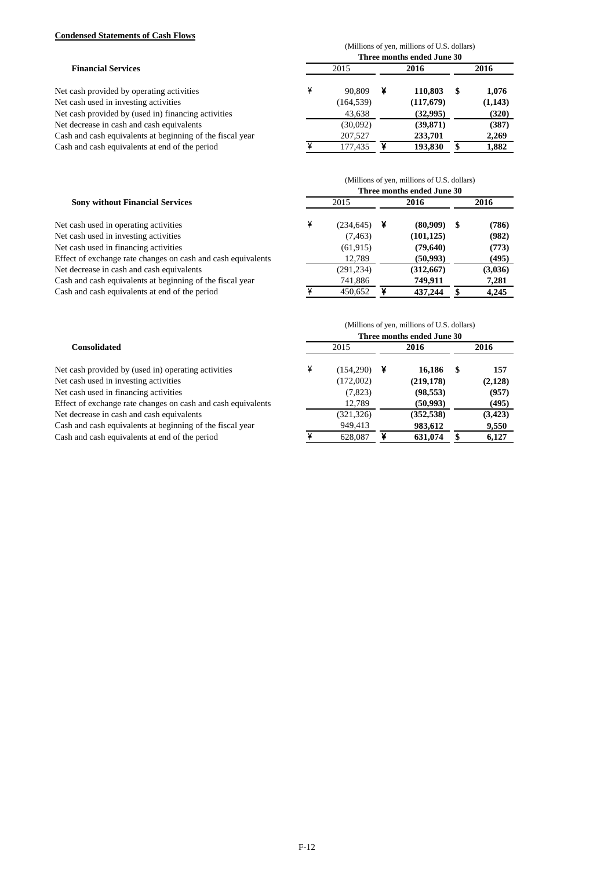#### **Condensed Statements of Cash Flows**

| <b>Financial Services</b><br>Net cash provided by operating activities | (Millions of yen, millions of U.S. dollars)<br>Three months ended June 30 |            |      |           |      |         |  |
|------------------------------------------------------------------------|---------------------------------------------------------------------------|------------|------|-----------|------|---------|--|
|                                                                        | 2015                                                                      |            | 2016 |           | 2016 |         |  |
|                                                                        | ¥                                                                         | 90.809     | ¥    | 110.803   | -SS  | 1.076   |  |
| Net cash used in investing activities                                  |                                                                           | (164, 539) |      | (117,679) |      | (1,143) |  |
| Net cash provided by (used in) financing activities                    |                                                                           | 43,638     |      | (32,995)  |      | (320)   |  |
| Net decrease in cash and cash equivalents                              |                                                                           | (30,092)   |      | (39, 871) |      | (387)   |  |
| Cash and cash equivalents at beginning of the fiscal year              |                                                                           | 207,527    |      | 233,701   |      | 2,269   |  |
| Cash and cash equivalents at end of the period                         |                                                                           | 177,435    |      | 193,830   |      | 1,882   |  |

| <b>Sony without Financial Services</b><br>Net cash used in operating activities | (Millions of yen, millions of U.S. dollars)<br>Three months ended June 30 |            |      |            |      |         |  |
|---------------------------------------------------------------------------------|---------------------------------------------------------------------------|------------|------|------------|------|---------|--|
|                                                                                 | 2015                                                                      |            | 2016 |            | 2016 |         |  |
|                                                                                 | ¥                                                                         | (234, 645) | ¥    | (80,909)   | -SS  | (786)   |  |
| Net cash used in investing activities                                           |                                                                           | (7, 463)   |      | (101, 125) |      | (982)   |  |
| Net cash used in financing activities                                           |                                                                           | (61, 915)  |      | (79,640)   |      | (773)   |  |
| Effect of exchange rate changes on cash and cash equivalents                    |                                                                           | 12,789     |      | (50, 993)  |      | (495)   |  |
| Net decrease in cash and cash equivalents                                       |                                                                           | (291, 234) |      | (312,667)  |      | (3,036) |  |
| Cash and cash equivalents at beginning of the fiscal year                       |                                                                           | 741,886    |      | 749,911    |      | 7,281   |  |
| Cash and cash equivalents at end of the period                                  |                                                                           | 450,652    |      | 437,244    |      | 4,245   |  |

|                                                              | (Millions of yen, millions of U.S. dollars)<br>Three months ended June 30 |            |   |            |      |          |  |  |
|--------------------------------------------------------------|---------------------------------------------------------------------------|------------|---|------------|------|----------|--|--|
|                                                              |                                                                           |            |   |            |      |          |  |  |
| Net cash provided by (used in) operating activities          | ¥                                                                         | (154,290)  | ¥ | 16.186     | - \$ | 157      |  |  |
| Net cash used in investing activities                        |                                                                           | (172,002)  |   | (219, 178) |      | (2,128)  |  |  |
| Net cash used in financing activities                        |                                                                           | (7,823)    |   | (98, 553)  |      | (957)    |  |  |
| Effect of exchange rate changes on cash and cash equivalents |                                                                           | 12,789     |   | (50, 993)  |      | (495)    |  |  |
| Net decrease in cash and cash equivalents                    |                                                                           | (321, 326) |   | (352, 538) |      | (3, 423) |  |  |
| Cash and cash equivalents at beginning of the fiscal year    |                                                                           | 949,413    |   | 983,612    |      | 9,550    |  |  |
| Cash and cash equivalents at end of the period               |                                                                           | 628,087    |   | 631.074    |      | 6,127    |  |  |
|                                                              |                                                                           |            |   |            |      |          |  |  |

## F-12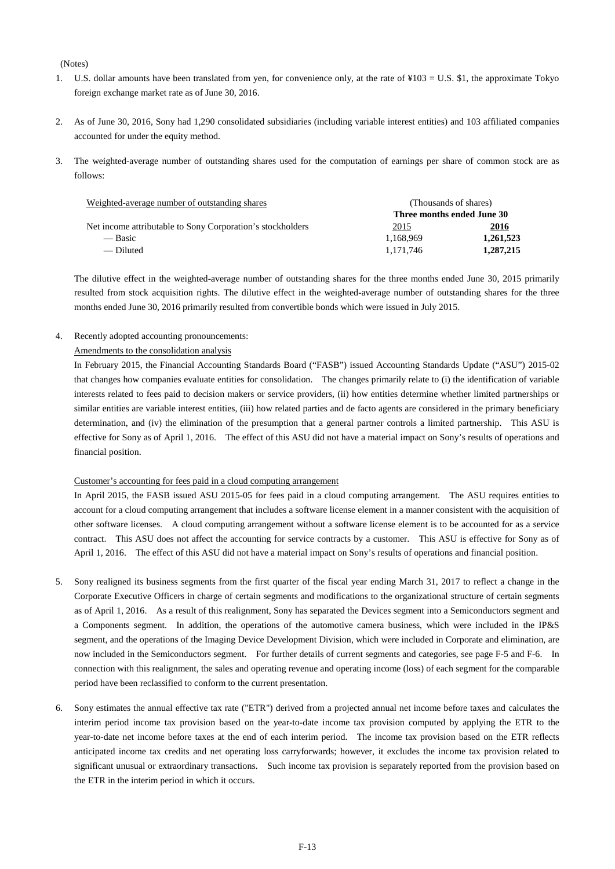#### (Notes)

- 1. U.S. dollar amounts have been translated from yen, for convenience only, at the rate of ¥103 = U.S. \$1, the approximate Tokyo foreign exchange market rate as of June 30, 2016.
- 2. As of June 30, 2016, Sony had 1,290 consolidated subsidiaries (including variable interest entities) and 103 affiliated companies accounted for under the equity method.
- 3. The weighted-average number of outstanding shares used for the computation of earnings per share of common stock are as follows:

| Weighted-average number of outstanding shares              | (Thousands of shares)      |           |  |  |  |
|------------------------------------------------------------|----------------------------|-----------|--|--|--|
|                                                            | Three months ended June 30 |           |  |  |  |
| Net income attributable to Sony Corporation's stockholders | <u>2015</u>                | 2016      |  |  |  |
| — Basic                                                    | 1.168.969                  | 1.261.523 |  |  |  |
| — Diluted                                                  | 1.171.746                  | 1,287,215 |  |  |  |

The dilutive effect in the weighted-average number of outstanding shares for the three months ended June 30, 2015 primarily resulted from stock acquisition rights. The dilutive effect in the weighted-average number of outstanding shares for the three months ended June 30, 2016 primarily resulted from convertible bonds which were issued in July 2015.

4. Recently adopted accounting pronouncements:

#### Amendments to the consolidation analysis

In February 2015, the Financial Accounting Standards Board ("FASB") issued Accounting Standards Update ("ASU") 2015-02 that changes how companies evaluate entities for consolidation. The changes primarily relate to (i) the identification of variable interests related to fees paid to decision makers or service providers, (ii) how entities determine whether limited partnerships or similar entities are variable interest entities, (iii) how related parties and de facto agents are considered in the primary beneficiary determination, and (iv) the elimination of the presumption that a general partner controls a limited partnership. This ASU is effective for Sony as of April 1, 2016. The effect of this ASU did not have a material impact on Sony's results of operations and financial position.

#### Customer's accounting for fees paid in a cloud computing arrangement

In April 2015, the FASB issued ASU 2015-05 for fees paid in a cloud computing arrangement. The ASU requires entities to account for a cloud computing arrangement that includes a software license element in a manner consistent with the acquisition of other software licenses. A cloud computing arrangement without a software license element is to be accounted for as a service contract. This ASU does not affect the accounting for service contracts by a customer. This ASU is effective for Sony as of April 1, 2016. The effect of this ASU did not have a material impact on Sony's results of operations and financial position.

- 5. Sony realigned its business segments from the first quarter of the fiscal year ending March 31, 2017 to reflect a change in the Corporate Executive Officers in charge of certain segments and modifications to the organizational structure of certain segments as of April 1, 2016. As a result of this realignment, Sony has separated the Devices segment into a Semiconductors segment and a Components segment. In addition, the operations of the automotive camera business, which were included in the IP&S segment, and the operations of the Imaging Device Development Division, which were included in Corporate and elimination, are now included in the Semiconductors segment. For further details of current segments and categories, see page F-5 and F-6. In connection with this realignment, the sales and operating revenue and operating income (loss) of each segment for the comparable period have been reclassified to conform to the current presentation.
- 6. Sony estimates the annual effective tax rate ("ETR") derived from a projected annual net income before taxes and calculates the interim period income tax provision based on the year-to-date income tax provision computed by applying the ETR to the year-to-date net income before taxes at the end of each interim period. The income tax provision based on the ETR reflects anticipated income tax credits and net operating loss carryforwards; however, it excludes the income tax provision related to significant unusual or extraordinary transactions. Such income tax provision is separately reported from the provision based on the ETR in the interim period in which it occurs.